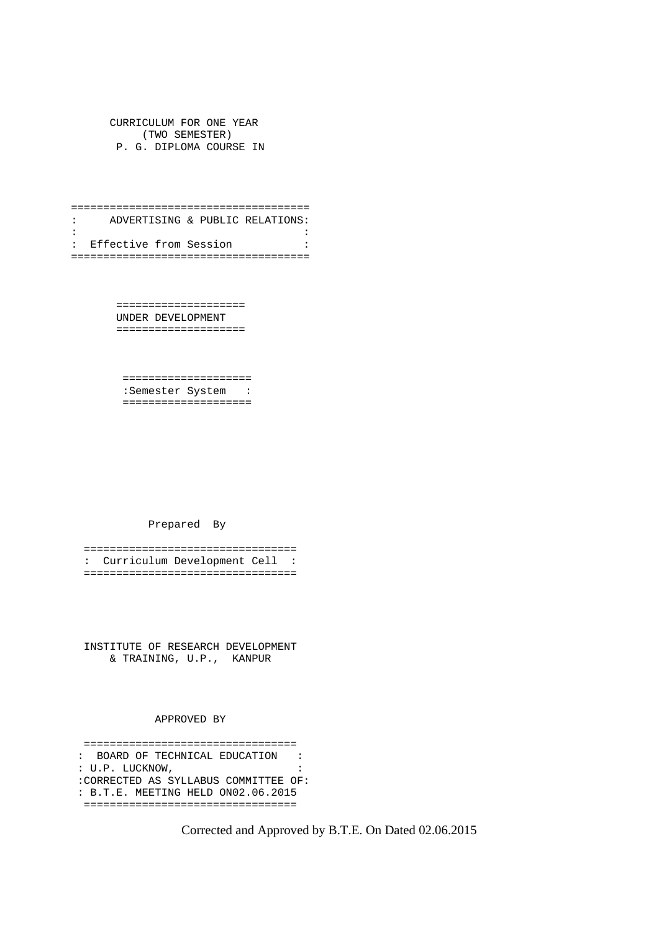CURRICULUM FOR ONE YEAR (TWO SEMESTER) P. G. DIPLOMA COURSE IN

```
===================================== 
: ADVERTISING & PUBLIC RELATIONS: 
:<br>: Fffective from Court
: Effective from Session : 
=====================================
```
 ==================== UNDER DEVELOPMENT ====================

 ==================== :Semester System : ====================

Prepared By

 ================================= : Curriculum Development Cell : =================================

 INSTITUTE OF RESEARCH DEVELOPMENT & TRAINING, U.P., KANPUR

APPROVED BY

 ================================= : BOARD OF TECHNICAL EDUCATION : : U.P. LUCKNOW, : :CORRECTED AS SYLLABUS COMMITTEE OF: : B.T.E. MEETING HELD ON02.06.2015 =================================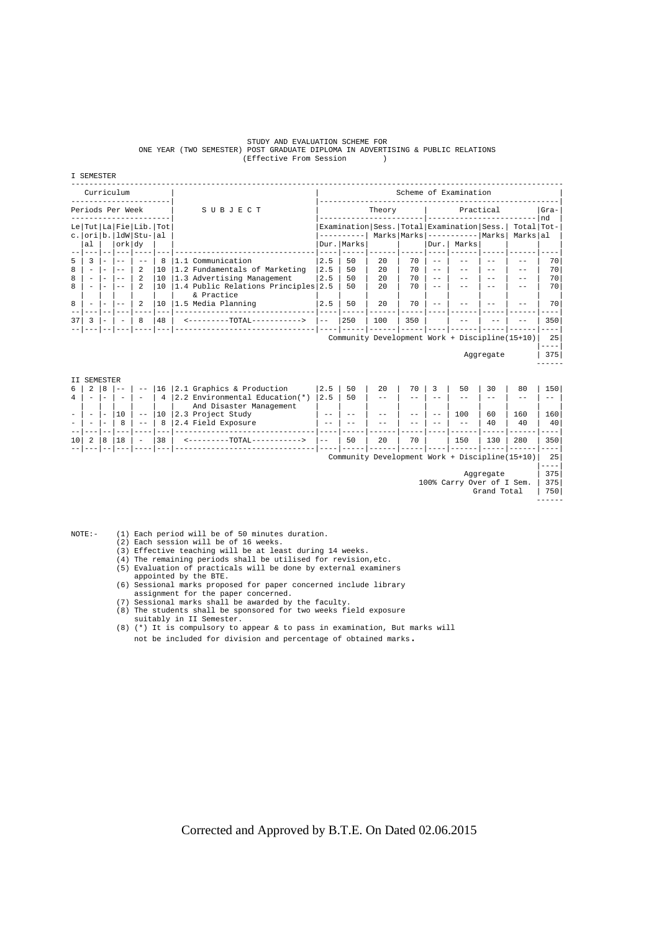# STUDY AND EVALUATION SCHEME FOR<br>ONE YEAR (TWO SEMESTER) POST GRADUATE DIPLOMA IN ADVERTISING & PUBLIC RELATIONS (Effective From Session )

# I SEMESTER

II SEMESTER

| Curriculum       |                          |  |                          |                                                  | Scheme of Examination |                                                    |                     |            |            |          |              |                                                                                          |           |                        |          |
|------------------|--------------------------|--|--------------------------|--------------------------------------------------|-----------------------|----------------------------------------------------|---------------------|------------|------------|----------|--------------|------------------------------------------------------------------------------------------|-----------|------------------------|----------|
| Periods Per Week |                          |  |                          |                                                  |                       | SUBJECT                                            | Practical<br>Theory |            |            |          |              | Gra-<br>l nd                                                                             |           |                        |          |
|                  | al                       |  | ork dy                   | Le Tut La Fie Lib. Tot <br>c. ori b. ldW Stu- al |                       |                                                    |                     | Dur. Marks |            |          | Dur.         | Examination   Sess.   Total   Examination   Sess.  <br>$Marks$ $Marks$ $------$<br>Marks | Marks     | Total Tot-<br>Markslal |          |
|                  |                          |  |                          |                                                  |                       |                                                    |                     |            |            |          |              |                                                                                          |           |                        |          |
| 5<br>8           | 3                        |  | $-$<br>$ -$              | $\mathfrak{D}$                                   | 8<br>10               | 1.1 Communication<br>1.2 Fundamentals of Marketing | 2.5<br>2.5          | 50<br>50   | 2.0<br>2.0 | 70<br>70 | $-$<br>$- -$ | $-$                                                                                      |           |                        | 70<br>70 |
| 8                | $\overline{\phantom{0}}$ |  | $ -$                     | 2                                                | 10                    | 1.3 Advertising Management                         | 2.5                 | 50         | 2.0        | 70       | $- -$        |                                                                                          |           |                        | 70       |
| 8                |                          |  | $- -$                    | $\mathfrak{D}$                                   | 10                    | 1.4 Public Relations Principles 2.5<br>& Practice  |                     | 50         | 2.0        | 70       | $-$          |                                                                                          |           |                        | 70       |
| 8                |                          |  | $ -$                     | $\mathfrak{D}$                                   | 10                    | 1.5 Media Planning                                 | 2.5                 | 50         | 2.0        | 70       |              |                                                                                          |           |                        | 70       |
|                  |                          |  |                          |                                                  |                       |                                                    |                     |            |            |          |              |                                                                                          |           |                        |          |
| 37               | 3                        |  | $\overline{\phantom{0}}$ | 8                                                | 48                    | <--------TOTAL----------->                         | $\qquad \qquad -$   | 250        | 100        | 350      |              |                                                                                          |           |                        | 350      |
|                  |                          |  |                          |                                                  |                       |                                                    |                     |            |            |          |              | Community Development Work + Discipline(15+10)                                           |           |                        | 25       |
|                  |                          |  |                          |                                                  |                       |                                                    |                     |            |            |          |              |                                                                                          |           |                        | ----     |
|                  |                          |  |                          |                                                  |                       |                                                    |                     |            |            |          |              |                                                                                          | Aggregate |                        | 375      |
|                  |                          |  |                          |                                                  |                       |                                                    |                     |            |            |          |              |                                                                                          |           |                        |          |

| 6                        | 8 |    |                          | 16             | 2.1 Graphics & Production      | 2.5  | 50 | 2.0                                            | 70 | 50  | 30  | 80  | 150 |  |
|--------------------------|---|----|--------------------------|----------------|--------------------------------|------|----|------------------------------------------------|----|-----|-----|-----|-----|--|
| $\overline{4}$           |   |    |                          | $\overline{4}$ | 2.2 Environmental Education(*) | 2.5  | 50 |                                                |    |     |     |     |     |  |
|                          |   |    |                          |                | And Disaster Management        |      |    |                                                |    |     |     |     |     |  |
| $\overline{\phantom{0}}$ |   | 10 | $- -$                    | 10             | 2.3 Project Study              | - -  |    |                                                |    | 100 | 60  | 160 | 160 |  |
|                          |   | 8  | $- -$                    | 8              | 2.4 Field Exposure             | $ -$ |    |                                                |    |     | 40  | 40  | 40  |  |
|                          |   |    |                          |                |                                |      |    |                                                |    |     |     |     |     |  |
| 10 <sup>1</sup>          | 8 | 18 | $\overline{\phantom{0}}$ | 38             | -TOTAL-                        | $ -$ | 50 | 2.0                                            | 70 | 150 | 130 | 280 | 350 |  |
|                          |   |    |                          |                |                                |      |    |                                                |    |     |     |     |     |  |
|                          |   |    |                          |                |                                |      |    | Community Development Work + Discipline(15+10) |    |     |     |     | 25  |  |
|                          |   |    |                          |                |                                |      |    |                                                |    |     |     |     |     |  |

------

Aggregate | 375<br>| 100% Carry Over of I Sem. | 375<br>| Grand Total | 750

 $NOTE: -$ 

- NOTE:- (1) Each period will be of 50 minutes duration. (2) Each session will be of 16 weeks.
	-
	-
- (3) Effective teaching will be at least during 14 weeks. (4) The remaining periods shall be utilised for revision,etc. (5) Evaluation of practicals will be done by external examiners
	- appointed by the BTE.
- (6) Sessional marks proposed for paper concerned include library assignment for the paper concerned. (7) Sessional marks shall be awarded by the faculty.
	-
	- (8) The students shall be sponsored for two weeks field exposure

 suitably in II Semester. (8) (\*) It is compulsory to appear & to pass in examination, But marks will not be included for division and percentage of obtained marks.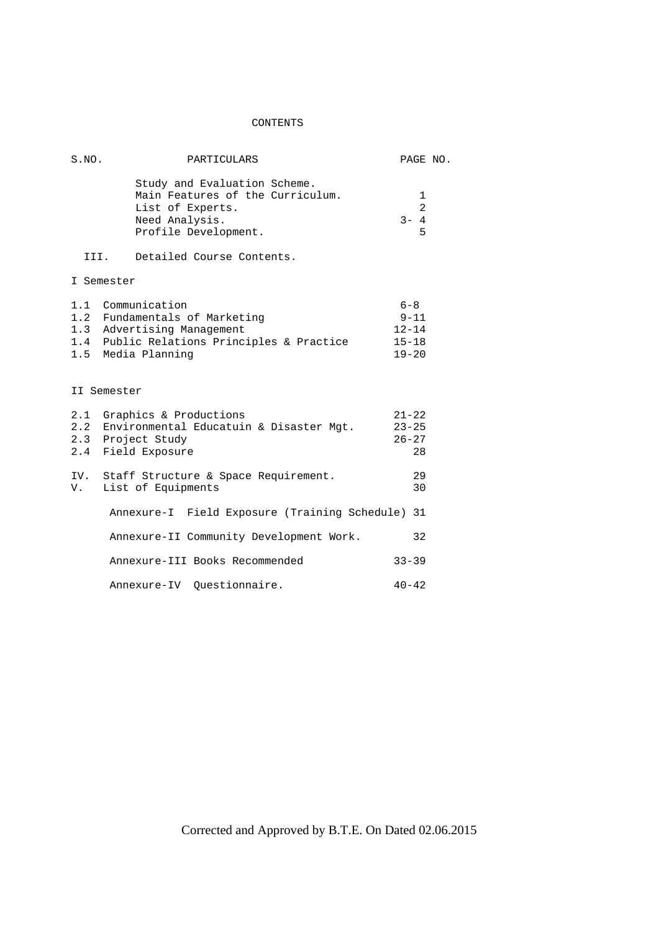# CONTENTS

| S.NO. |             | PARTICULARS                                                                                                                                          | PAGE NO.                                                   |  |
|-------|-------------|------------------------------------------------------------------------------------------------------------------------------------------------------|------------------------------------------------------------|--|
|       |             | Study and Evaluation Scheme.<br>Main Features of the Curriculum.<br>List of Experts.<br>Need Analysis.<br>Profile Development.                       | 1<br>2<br>$3 - 4$<br>5                                     |  |
|       | III.        | Detailed Course Contents.                                                                                                                            |                                                            |  |
|       | I Semester  |                                                                                                                                                      |                                                            |  |
|       |             | 1.1 Communication<br>1.2 Fundamentals of Marketing<br>1.3 Advertising Management<br>1.4 Public Relations Principles & Practice<br>1.5 Media Planning | $6 - 8$<br>$9 - 11$<br>$12 - 14$<br>$15 - 18$<br>$19 - 20$ |  |
|       | II Semester |                                                                                                                                                      |                                                            |  |
|       |             | 2.1 Graphics & Productions<br>2.2 Environmental Educatuin & Disaster Mgt.<br>2.3 Project Study<br>2.4 Field Exposure                                 | $21 - 22$<br>$23 - 25$<br>$26 - 27$<br>28                  |  |
| V.    |             | IV. Staff Structure & Space Requirement.<br>List of Equipments                                                                                       | 29<br>30                                                   |  |
|       |             | Annexure-I Field Exposure (Training Schedule) 31                                                                                                     |                                                            |  |
|       |             | Annexure-II Community Development Work.                                                                                                              | 32                                                         |  |
|       |             | Annexure-III Books Recommended                                                                                                                       | $33 - 39$                                                  |  |
|       |             | Annexure-IV Ouestionnaire.                                                                                                                           | $40 - 42$                                                  |  |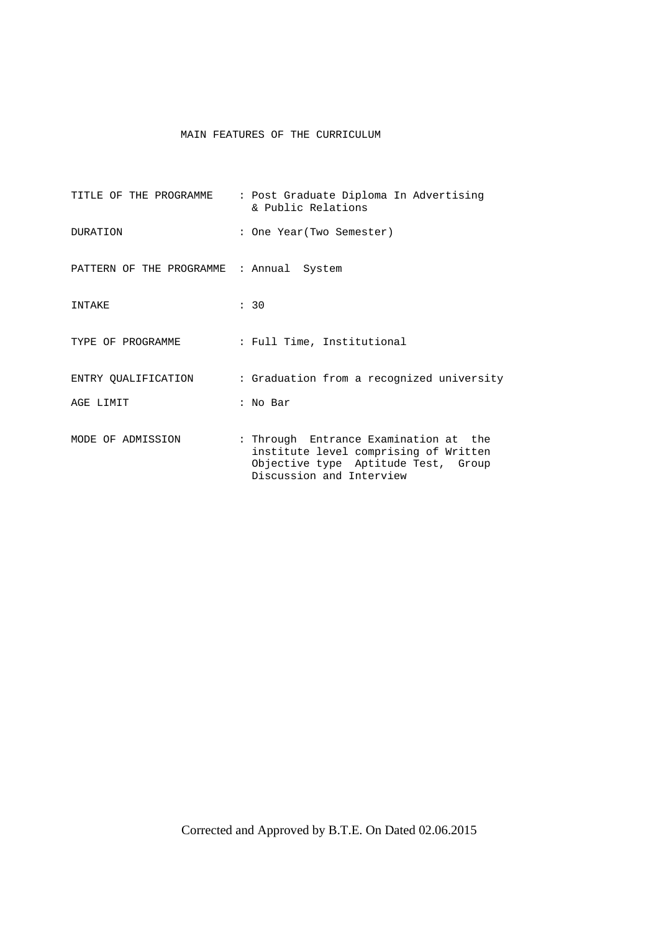# MAIN FEATURES OF THE CURRICULUM

|                                          | TITLE OF THE PROGRAMME : Post Graduate Diploma In Advertising<br>& Public Relations                                                               |
|------------------------------------------|---------------------------------------------------------------------------------------------------------------------------------------------------|
| <b>DURATION</b>                          | : One Year (Two Semester)                                                                                                                         |
| PATTERN OF THE PROGRAMME : Annual System |                                                                                                                                                   |
| INTAKE                                   | : 30                                                                                                                                              |
| TYPE OF PROGRAMME                        | : Full Time, Institutional                                                                                                                        |
| ENTRY QUALIFICATION                      | : Graduation from a recognized university                                                                                                         |
| AGE LIMIT                                | : No Bar                                                                                                                                          |
| MODE OF ADMISSION                        | : Through Entrance Examination at the<br>institute level comprising of Written<br>Objective type Aptitude Test, Group<br>Discussion and Interview |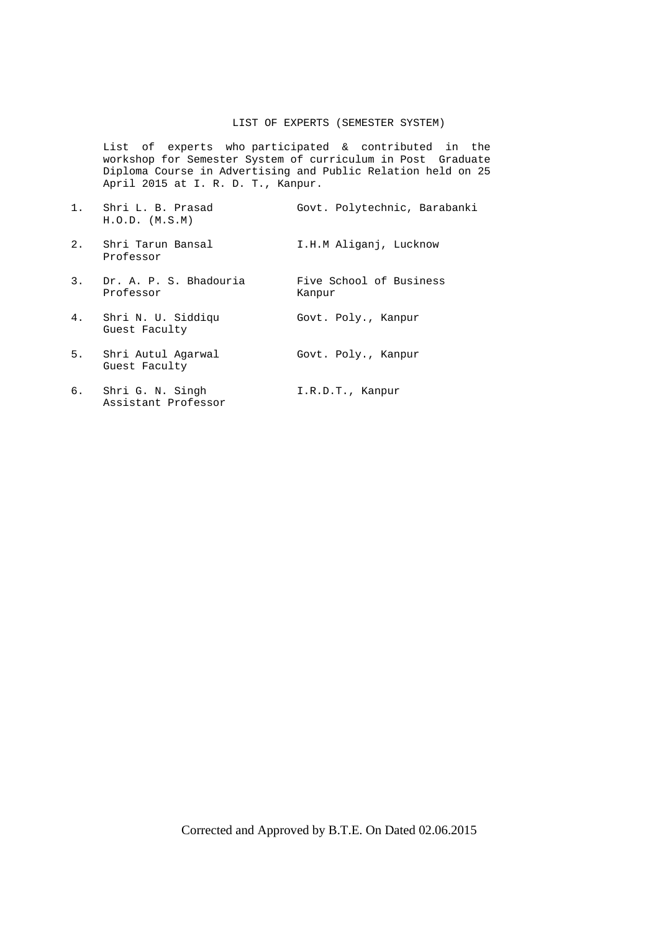# LIST OF EXPERTS (SEMESTER SYSTEM)

 List of experts who participated & contributed in the workshop for Semester System of curriculum in Post Graduate Diploma Course in Advertising and Public Relation held on 25 April 2015 at I. R. D. T., Kanpur.

| 1. Shri L. B. Prasad<br>$H.O.D.$ $(M.S.M)$ | Govt. Polytechnic, Barabanki      |
|--------------------------------------------|-----------------------------------|
| 2. Shri Tarun Bansal<br>Professor          | I.H.M Aliganj, Lucknow            |
| 3. Dr. A. P. S. Bhadouria<br>Professor     | Five School of Business<br>Kanpur |
| 4. Shri N. U. Siddigu<br>Guest Faculty     | Govt. Poly., Kanpur               |
| 5. Shri Autul Agarwal<br>Guest Faculty     | Govt. Poly., Kanpur               |
| 6. Shri G. N. Singh<br>Assistant Professor | I.R.D.T., Kanpur                  |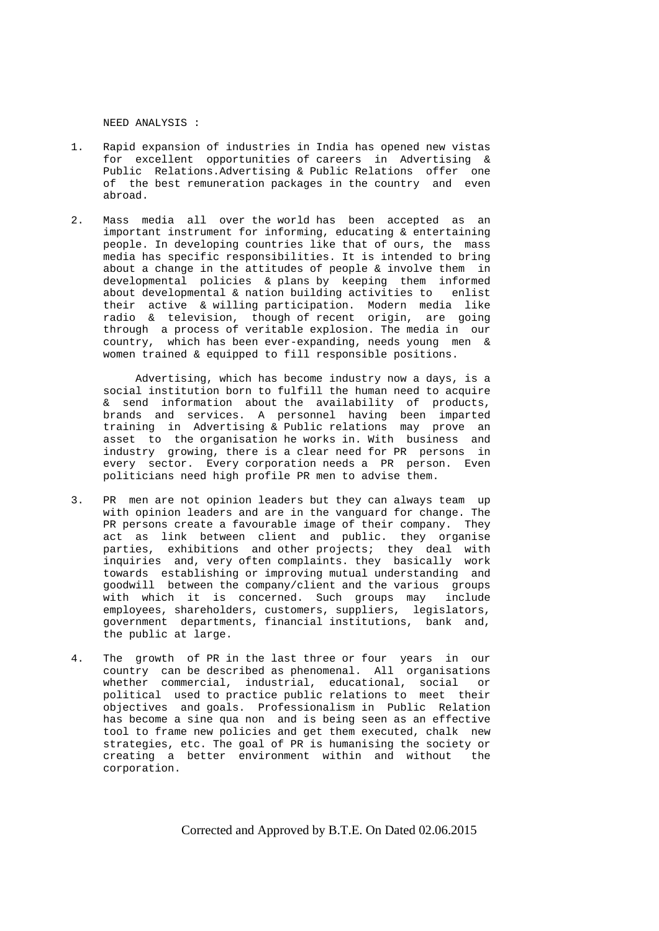NEED ANALYSIS :

- 1. Rapid expansion of industries in India has opened new vistas for excellent opportunities of careers in Advertising & Public Relations.Advertising & Public Relations offer one of the best remuneration packages in the country and even abroad.
- 2. Mass media all over the world has been accepted as an important instrument for informing, educating & entertaining people. In developing countries like that of ours, the mass media has specific responsibilities. It is intended to bring about a change in the attitudes of people & involve them in developmental policies & plans by keeping them informed about developmental & nation building activities to enlist their active & willing participation. Modern media like radio & television, though of recent origin, are going through a process of veritable explosion. The media in our country, which has been ever-expanding, needs young men & women trained & equipped to fill responsible positions.

 Advertising, which has become industry now a days, is a social institution born to fulfill the human need to acquire & send information about the availability of products, brands and services. A personnel having been imparted training in Advertising & Public relations may prove an asset to the organisation he works in. With business and industry growing, there is a clear need for PR persons in every sector. Every corporation needs a PR person. Even politicians need high profile PR men to advise them.

- 3. PR men are not opinion leaders but they can always team up with opinion leaders and are in the vanguard for change. The PR persons create a favourable image of their company. They act as link between client and public. they organise parties, exhibitions and other projects; they deal with inquiries and, very often complaints. they basically work towards establishing or improving mutual understanding and goodwill between the company/client and the various groups with which it is concerned. Such groups may include employees, shareholders, customers, suppliers, legislators, government departments, financial institutions, bank and, the public at large.
- 4. The growth of PR in the last three or four years in our country can be described as phenomenal. All organisations whether commercial, industrial, educational, social or political used to practice public relations to meet their objectives and goals. Professionalism in Public Relation has become a sine qua non and is being seen as an effective tool to frame new policies and get them executed, chalk new strategies, etc. The goal of PR is humanising the society or creating a better environment within and without the corporation.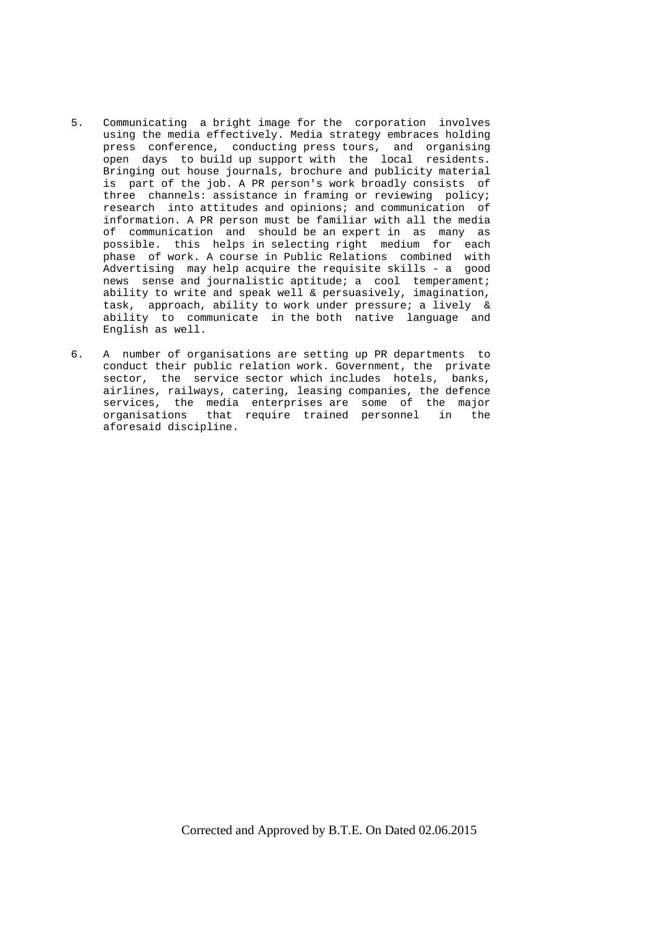- 5. Communicating a bright image for the corporation involves using the media effectively. Media strategy embraces holding press conference, conducting press tours, and organising open days to build up support with the local residents. Bringing out house journals, brochure and publicity material is part of the job. A PR person's work broadly consists of three channels: assistance in framing or reviewing policy; research into attitudes and opinions; and communication of information. A PR person must be familiar with all the media of communication and should be an expert in as many as possible. this helps in selecting right medium for each phase of work. A course in Public Relations combined with Advertising may help acquire the requisite skills - a good news sense and journalistic aptitude; a cool temperament; ability to write and speak well & persuasively, imagination, task, approach, ability to work under pressure; a lively & ability to communicate in the both native language and English as well.
- 6. A number of organisations are setting up PR departments to conduct their public relation work. Government, the private sector, the service sector which includes hotels, banks, airlines, railways, catering, leasing companies, the defence services, the media enterprises are some of the major organisations that require trained personnel in the aforesaid discipline.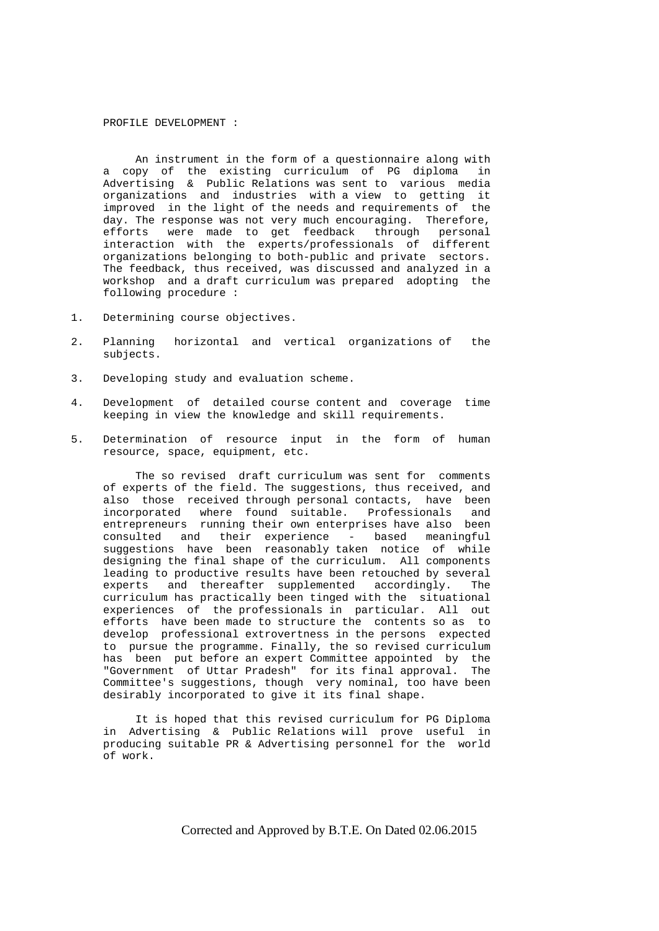### PROFILE DEVELOPMENT :

 An instrument in the form of a questionnaire along with a copy of the existing curriculum of PG diploma in Advertising & Public Relations was sent to various media organizations and industries with a view to getting it improved in the light of the needs and requirements of the day. The response was not very much encouraging. Therefore, efforts were made to get feedback through personal interaction with the experts/professionals of different organizations belonging to both-public and private sectors. The feedback, thus received, was discussed and analyzed in a workshop and a draft curriculum was prepared adopting the following procedure :

- 1. Determining course objectives.
- 2. Planning horizontal and vertical organizations of the subjects.
- 3. Developing study and evaluation scheme.
- 4. Development of detailed course content and coverage time keeping in view the knowledge and skill requirements.
- 5. Determination of resource input in the form of human resource, space, equipment, etc.

 The so revised draft curriculum was sent for comments of experts of the field. The suggestions, thus received, and also those received through personal contacts, have been incorporated where found suitable. Professionals and entrepreneurs running their own enterprises have also been consulted and their experience - based meaningful suggestions have been reasonably taken notice of while designing the final shape of the curriculum. All components leading to productive results have been retouched by several experts and thereafter supplemented accordingly. The curriculum has practically been tinged with the situational experiences of the professionals in particular. All out efforts have been made to structure the contents so as to develop professional extrovertness in the persons expected to pursue the programme. Finally, the so revised curriculum has been put before an expert Committee appointed by the "Government of Uttar Pradesh" for its final approval. The "Government of Uttar Pradesh" for its final approval. Committee's suggestions, though very nominal, too have been desirably incorporated to give it its final shape.

 It is hoped that this revised curriculum for PG Diploma in Advertising & Public Relations will prove useful in producing suitable PR & Advertising personnel for the world of work.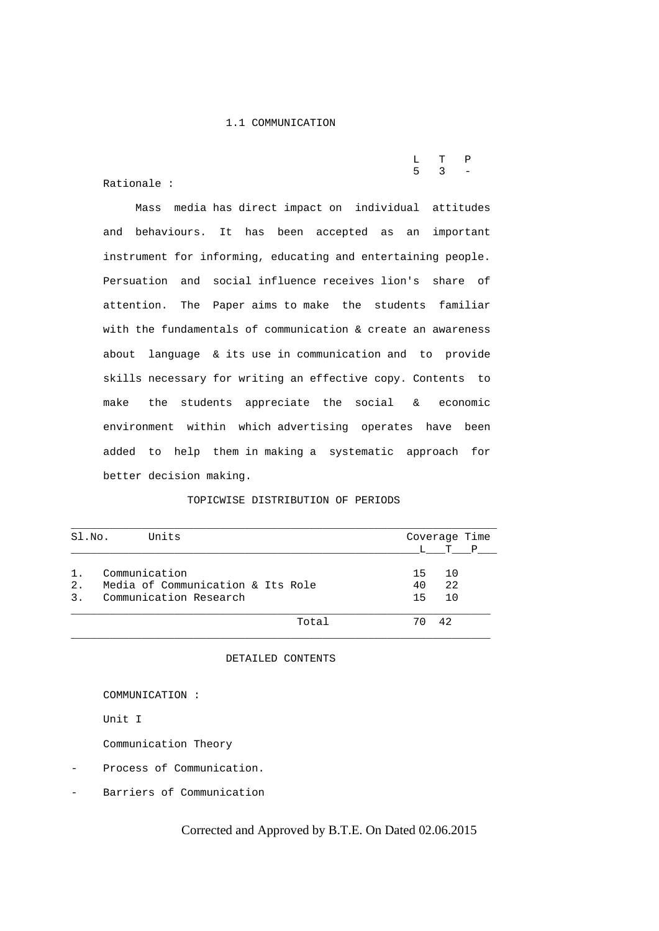## 1.1 COMMUNICATION

|  | $L$ T P             |  |
|--|---------------------|--|
|  | $5 \quad 3 \quad -$ |  |

Rationale :

 Mass media has direct impact on individual attitudes and behaviours. It has been accepted as an important instrument for informing, educating and entertaining people. Persuation and social influence receives lion's share of attention. The Paper aims to make the students familiar with the fundamentals of communication & create an awareness about language & its use in communication and to provide skills necessary for writing an effective copy. Contents to make the students appreciate the social & economic environment within which advertising operates have been added to help them in making a systematic approach for better decision making.

# TOPICWISE DISTRIBUTION OF PERIODS

| SI.NO. | Units                             | Coverage Time |       |  |  |  |  |
|--------|-----------------------------------|---------------|-------|--|--|--|--|
|        |                                   |               | L T P |  |  |  |  |
| 1.     | Communication                     | 15            | 10    |  |  |  |  |
| 2.     | Media of Communication & Its Role | 40            | 22    |  |  |  |  |
| 3.     | Communication Research            | 15            | 10    |  |  |  |  |
|        | Total                             | 70            | 42    |  |  |  |  |

DETAILED CONTENTS

COMMUNICATION :

Unit I

Communication Theory

Process of Communication.

- Barriers of Communication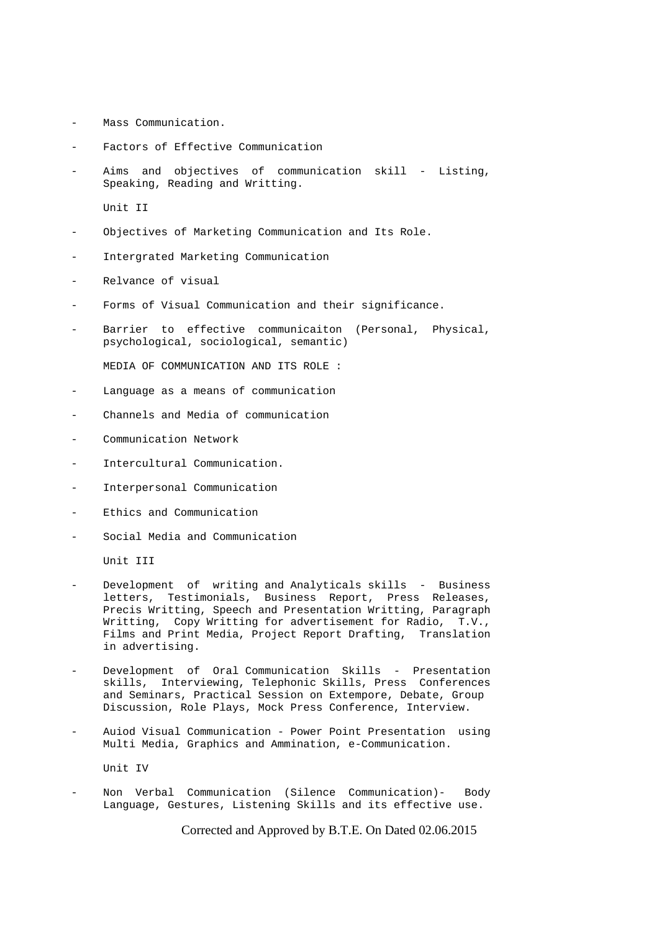- Mass Communication.
- Factors of Effective Communication
- Aims and objectives of communication skill Listing, Speaking, Reading and Writting.

Unit II

- Objectives of Marketing Communication and Its Role.
- Intergrated Marketing Communication
- Relvance of visual
- Forms of Visual Communication and their significance.
- Barrier to effective communicaiton (Personal, Physical, psychological, sociological, semantic)

MEDIA OF COMMUNICATION AND ITS ROLE :

- Language as a means of communication
- Channels and Media of communication
- Communication Network
- Intercultural Communication.
- Interpersonal Communication
- Ethics and Communication
- Social Media and Communication

Unit III

- Development of writing and Analyticals skills Business letters, Testimonials, Business Report, Press Releases, Precis Writting, Speech and Presentation Writting, Paragraph Writting, Copy Writting for advertisement for Radio, T.V., Films and Print Media, Project Report Drafting, Translation in advertising.
- Development of Oral Communication Skills Presentation skills, Interviewing, Telephonic Skills, Press Conferences and Seminars, Practical Session on Extempore, Debate, Group Discussion, Role Plays, Mock Press Conference, Interview.
- Auiod Visual Communication Power Point Presentation using Multi Media, Graphics and Ammination, e-Communication.

Unit IV

Non Verbal Communication (Silence Communication) - Body Language, Gestures, Listening Skills and its effective use.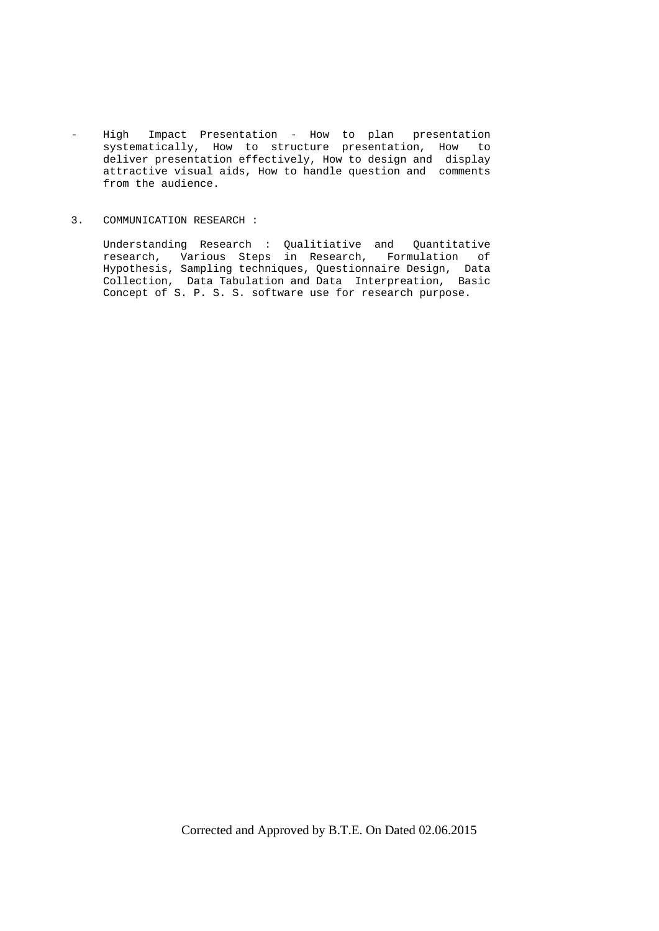- High Impact Presentation How to plan presentation systematically, How to structure presentation, How to deliver presentation effectively, How to design and display attractive visual aids, How to handle question and comments from the audience.
- 3. COMMUNICATION RESEARCH :

 Understanding Research : Qualitiative and Quantitative research, Various Steps in Research, Formulation of Hypothesis, Sampling techniques, Questionnaire Design, Data Collection, Data Tabulation and Data Interpreation, Basic Concept of S. P. S. S. software use for research purpose.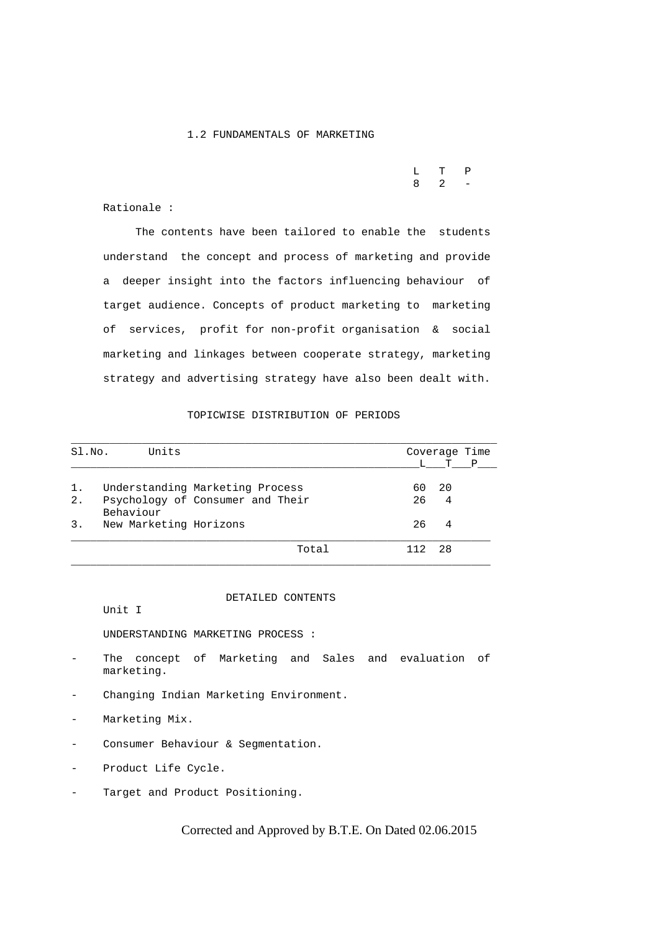### 1.2 FUNDAMENTALS OF MARKETING

|  | L T P             |  |
|--|-------------------|--|
|  | $8\quad 2\quad -$ |  |

Rationale :

 The contents have been tailored to enable the students understand the concept and process of marketing and provide a deeper insight into the factors influencing behaviour of target audience. Concepts of product marketing to marketing of services, profit for non-profit organisation & social marketing and linkages between cooperate strategy, marketing strategy and advertising strategy have also been dealt with.

### TOPICWISE DISTRIBUTION OF PERIODS

| Sl.No. | Units                                         |     |              | Coverage Time |
|--------|-----------------------------------------------|-----|--------------|---------------|
|        |                                               |     | $\mathbf{T}$ | $\mathbf{P}$  |
| 1.     | Understanding Marketing Process               | 60  | 20           |               |
| 2.     | Psychology of Consumer and Their<br>Behaviour | 26  | 4            |               |
| 3.     | New Marketing Horizons                        | 26  | 4            |               |
|        | Total                                         | 112 | -28          |               |

# DETAILED CONTENTS

Unit I

UNDERSTANDING MARKETING PROCESS :

- The concept of Marketing and Sales and evaluation of marketing.
- Changing Indian Marketing Environment.
- Marketing Mix.
- Consumer Behaviour & Segmentation.
- Product Life Cycle.
- Target and Product Positioning.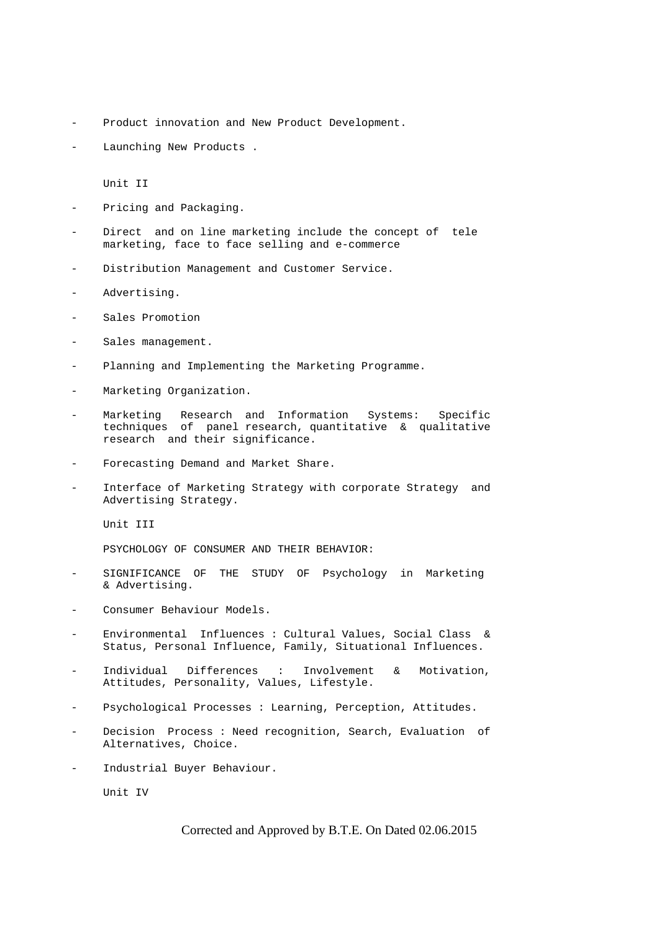- Product innovation and New Product Development.
- Launching New Products .

Unit II

- Pricing and Packaging.
- Direct and on line marketing include the concept of tele marketing, face to face selling and e-commerce
- Distribution Management and Customer Service.
- Advertising.
- Sales Promotion
- Sales management.
- Planning and Implementing the Marketing Programme.
- Marketing Organization.
- Marketing Research and Information Systems: Specific techniques of panel research, quantitative & qualitative research and their significance.
- Forecasting Demand and Market Share.
- Interface of Marketing Strategy with corporate Strategy and Advertising Strategy.

Unit III

PSYCHOLOGY OF CONSUMER AND THEIR BEHAVIOR:

- SIGNIFICANCE OF THE STUDY OF Psychology in Marketing & Advertising.
- Consumer Behaviour Models.
- Environmental Influences : Cultural Values, Social Class & Status, Personal Influence, Family, Situational Influences.
- Individual Differences : Involvement & Motivation, Attitudes, Personality, Values, Lifestyle.
- Psychological Processes : Learning, Perception, Attitudes.
- Decision Process : Need recognition, Search, Evaluation of Alternatives, Choice.
- Industrial Buyer Behaviour.

Unit IV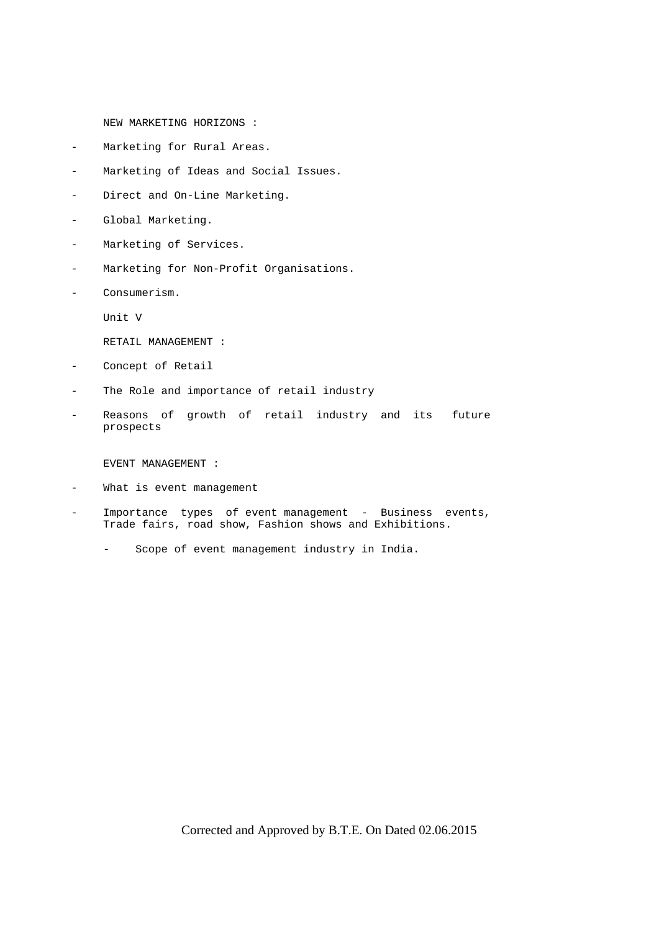NEW MARKETING HORIZONS :

- Marketing for Rural Areas.
- Marketing of Ideas and Social Issues.
- Direct and On-Line Marketing.
- Global Marketing.
- Marketing of Services.
- Marketing for Non-Profit Organisations.
- Consumerism.

Unit V

RETAIL MANAGEMENT :

- Concept of Retail
- The Role and importance of retail industry
- Reasons of growth of retail industry and its future prospects

EVENT MANAGEMENT :

- What is event management
- Importance types of event management Business events, Trade fairs, road show, Fashion shows and Exhibitions.
	- Scope of event management industry in India.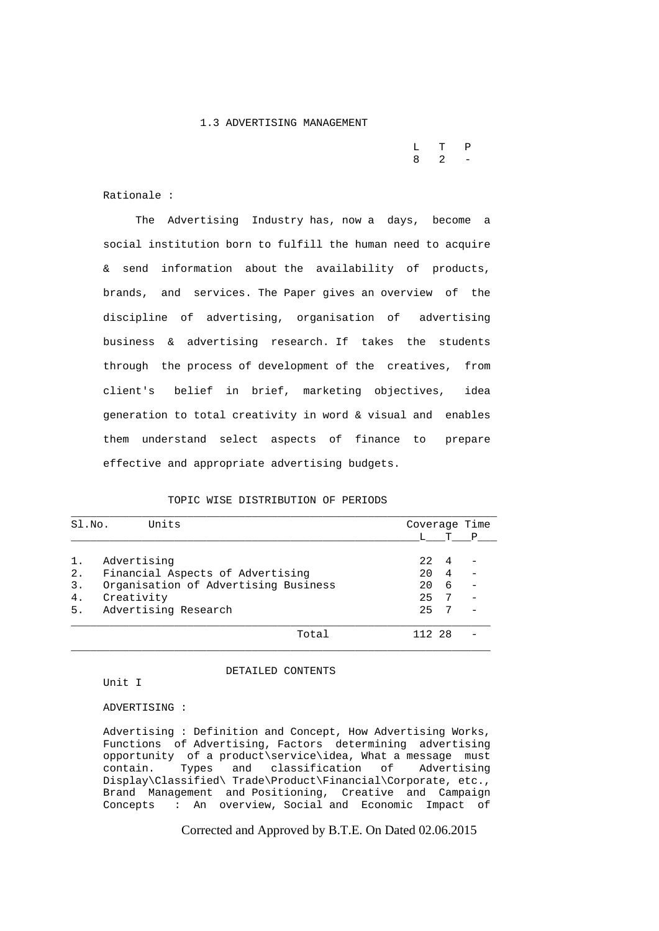### 1.3 ADVERTISING MANAGEMENT

|  | L T P               |  |
|--|---------------------|--|
|  | $8\qquad 2\qquad -$ |  |

Rationale :

 The Advertising Industry has, now a days, become a social institution born to fulfill the human need to acquire & send information about the availability of products, brands, and services. The Paper gives an overview of the discipline of advertising, organisation of advertising business & advertising research. If takes the students through the process of development of the creatives, from client's belief in brief, marketing objectives, idea generation to total creativity in word & visual and enables them understand select aspects of finance to prepare effective and appropriate advertising budgets.

## TOPIC WISE DISTRIBUTION OF PERIODS

| SI.NO. | Units                                | Coverage Time |    |              |  |  |
|--------|--------------------------------------|---------------|----|--------------|--|--|
|        |                                      |               |    | $\mathbf{P}$ |  |  |
| 1.     | Advertising                          | 22            | 4  |              |  |  |
| 2.     | Financial Aspects of Advertising     | 20            | 4  |              |  |  |
| 3.     | Organisation of Advertising Business | 20            | 6  |              |  |  |
| 4.     | Creativity                           | 25            | -7 |              |  |  |
| 5.     | Advertising Research                 | 25            |    |              |  |  |
|        | Total                                | 112 28        |    |              |  |  |

## DETAILED CONTENTS

Unit I

ADVERTISING :

 Advertising : Definition and Concept, How Advertising Works, Functions of Advertising, Factors determining advertising opportunity of a product\service\idea, What a message must contain. Types and classification of Advertising contain. Types and classification of Advertising Display\Classified\ Trade\Product\Financial\Corporate, etc., Brand Management and Positioning, Creative and Campaign Concepts : An overview, Social and Economic Impact of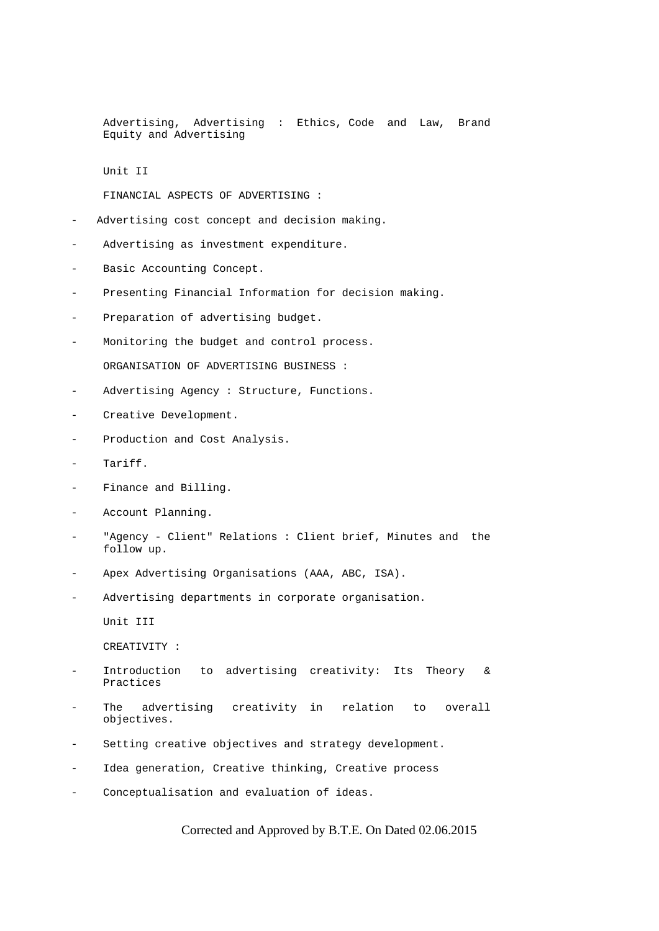Advertising, Advertising : Ethics, Code and Law, Brand Equity and Advertising

Unit II

FINANCIAL ASPECTS OF ADVERTISING :

- Advertising cost concept and decision making.
- Advertising as investment expenditure.
- Basic Accounting Concept.
- Presenting Financial Information for decision making.
- Preparation of advertising budget.
- Monitoring the budget and control process. ORGANISATION OF ADVERTISING BUSINESS :
- 
- Advertising Agency : Structure, Functions.
- Creative Development.
- Production and Cost Analysis.
- Tariff.
- Finance and Billing.
- Account Planning.
- "Agency Client" Relations : Client brief, Minutes and the follow up.
- Apex Advertising Organisations (AAA, ABC, ISA).
- Advertising departments in corporate organisation.

Unit III

CREATIVITY :

- Introduction to advertising creativity: Its Theory & Practices
- The advertising creativity in relation to overall objectives.
- Setting creative objectives and strategy development.
- Idea generation, Creative thinking, Creative process
- Conceptualisation and evaluation of ideas.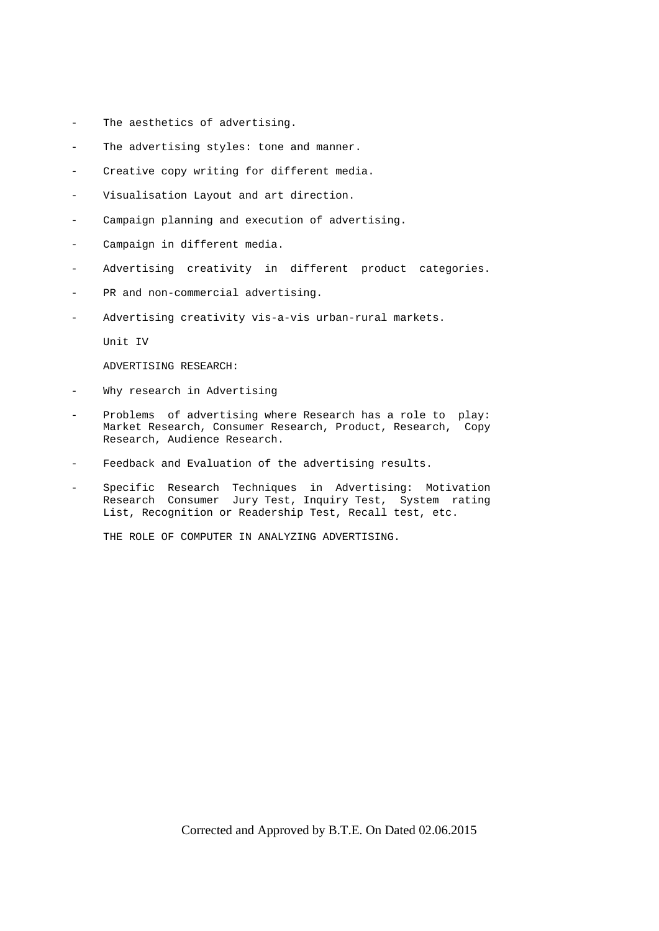- The aesthetics of advertising.
- The advertising styles: tone and manner.
- Creative copy writing for different media.
- Visualisation Layout and art direction.
- Campaign planning and execution of advertising.
- Campaign in different media.
- Advertising creativity in different product categories.
- PR and non-commercial advertising.
- Advertising creativity vis-a-vis urban-rural markets.

Unit IV

ADVERTISING RESEARCH:

- Why research in Advertising
- Problems of advertising where Research has a role to play: Market Research, Consumer Research, Product, Research, Copy Research, Audience Research.
- Feedback and Evaluation of the advertising results.
- Specific Research Techniques in Advertising: Motivation Research Consumer Jury Test, Inquiry Test, System rating List, Recognition or Readership Test, Recall test, etc.

THE ROLE OF COMPUTER IN ANALYZING ADVERTISING.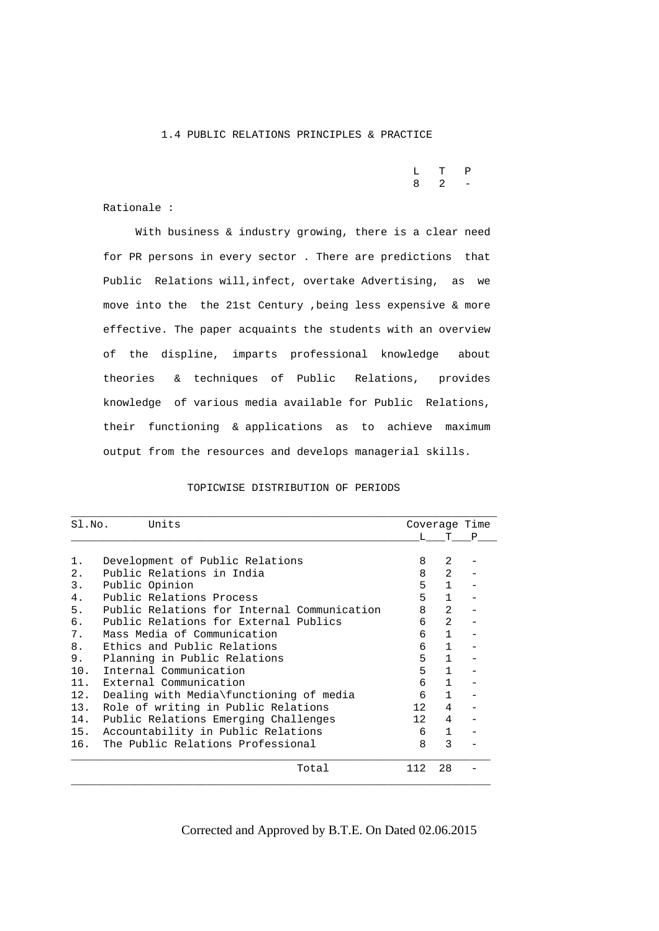## 1.4 PUBLIC RELATIONS PRINCIPLES & PRACTICE

|  | $L$ T P       |  |
|--|---------------|--|
|  | $8 \t 2 \t -$ |  |

### Rationale :

With business & industry growing, there is a clear need for PR persons in every sector . There are predictions that Public Relations will,infect, overtake Advertising, as we move into the the 21st Century ,being less expensive & more effective. The paper acquaints the students with an overview of the displine, imparts professional knowledge about theories & techniques of Public Relations, provides knowledge of various media available for Public Relations, their functioning & applications as to achieve maximum output from the resources and develops managerial skills.

| SLNO. | Units                                       |                 |                | Coverage Time |
|-------|---------------------------------------------|-----------------|----------------|---------------|
|       |                                             | T.              |                | T P           |
| 1.    | Development of Public Relations             | 8               | $\mathfrak{D}$ |               |
| 2.    | Public Relations in India                   | 8               | $\mathfrak{D}$ |               |
| 3.    | Public Opinion                              | 5               | 1              |               |
| 4.    | Public Relations Process                    | 5               | 1              |               |
| 5.    | Public Relations for Internal Communication | 8               | $\mathfrak{D}$ |               |
| б.    | Public Relations for External Publics       | 6               | $\mathcal{L}$  |               |
| 7.    | Mass Media of Communication                 | 6               | 1              |               |
| 8.    | Ethics and Public Relations                 | 6               | $\mathbf{1}$   |               |
| 9.    | Planning in Public Relations                | 5               | $\mathbf{1}$   |               |
| 10.   | Internal Communication                      | 5               | 1              |               |
| 11.   | External Communication                      | 6               | 1              |               |
| 12.   | Dealing with Media\functioning of media     | 6               | 1              |               |
| 13.   | Role of writing in Public Relations         | 12 <sup>1</sup> | 4              |               |
| 14.   | Public Relations Emerging Challenges        | 12 <sub>2</sub> | 4              |               |
| 15.   | Accountability in Public Relations          | 6               | $\mathbf{1}$   |               |
| 16.   | The Public Relations Professional           | 8               | 3              |               |
|       | Total                                       | 112             | 28             |               |

### TOPICWISE DISTRIBUTION OF PERIODS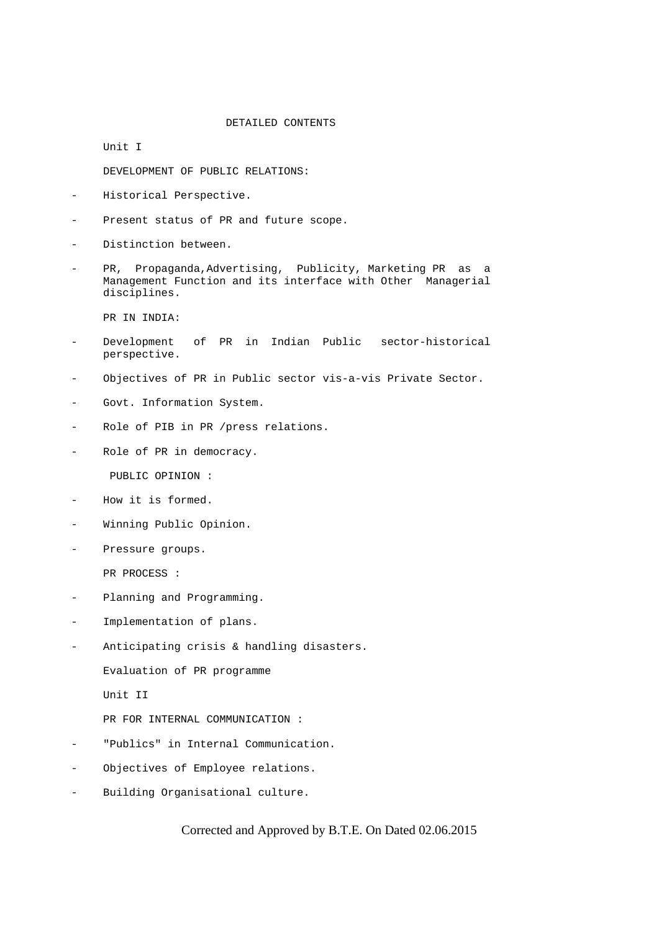### DETAILED CONTENTS

Unit I

DEVELOPMENT OF PUBLIC RELATIONS:

- Historical Perspective.
- Present status of PR and future scope.
- Distinction between.
- PR, Propaganda, Advertising, Publicity, Marketing PR as a Management Function and its interface with Other Managerial disciplines.

PR IN INDIA:

- Development of PR in Indian Public sector-historical perspective.
- Objectives of PR in Public sector vis-a-vis Private Sector.
- Govt. Information System.
- Role of PIB in PR /press relations.
- Role of PR in democracy.

PUBLIC OPINION :

- How it is formed.
- Winning Public Opinion.
- Pressure groups.

PR PROCESS :

- Planning and Programming.
- Implementation of plans.
- Anticipating crisis & handling disasters.

Evaluation of PR programme

Unit II

PR FOR INTERNAL COMMUNICATION :

- "Publics" in Internal Communication.
- Objectives of Employee relations.
- Building Organisational culture.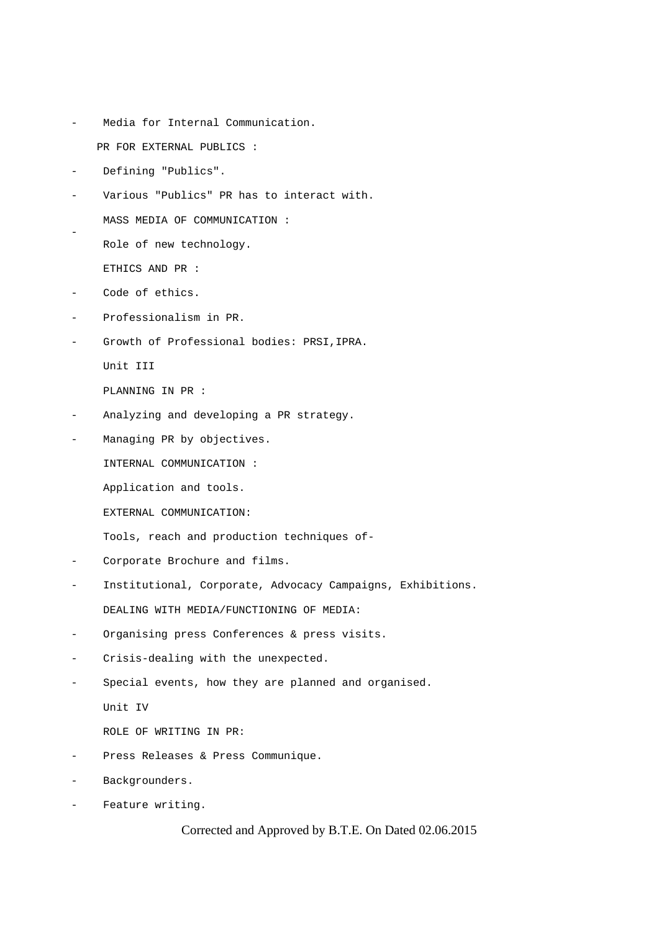- Media for Internal Communication. PR FOR EXTERNAL PUBLICS :
- Defining "Publics".
- Various "Publics" PR has to interact with.

MASS MEDIA OF COMMUNICATION :

Role of new technology.

ETHICS AND PR :

Code of ethics.

-

- Professionalism in PR.
- Growth of Professional bodies: PRSI,IPRA.

Unit III

PLANNING IN PR :

- Analyzing and developing a PR strategy.
- Managing PR by objectives.

INTERNAL COMMUNICATION :

Application and tools.

EXTERNAL COMMUNICATION:

Tools, reach and production techniques of-

- Corporate Brochure and films.
- Institutional, Corporate, Advocacy Campaigns, Exhibitions. DEALING WITH MEDIA/FUNCTIONING OF MEDIA:
- Organising press Conferences & press visits.
- Crisis-dealing with the unexpected.
- Special events, how they are planned and organised.

Unit IV

ROLE OF WRITING IN PR:

- Press Releases & Press Communique.
- Backgrounders.
- Feature writing.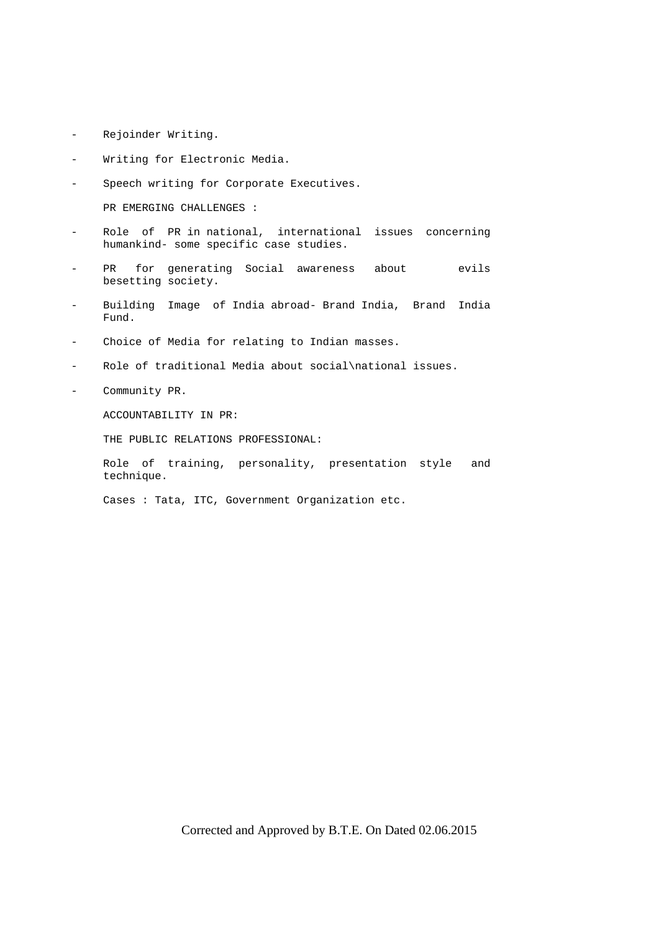- Rejoinder Writing.
- Writing for Electronic Media.
- Speech writing for Corporate Executives.

PR EMERGING CHALLENGES :

- Role of PR in national, international issues concerning humankind- some specific case studies.
- PR for generating Social awareness about evils besetting society.
- Building Image of India abroad- Brand India, Brand India Fund.
- Choice of Media for relating to Indian masses.
- Role of traditional Media about social\national issues.
- Community PR.

ACCOUNTABILITY IN PR:

THE PUBLIC RELATIONS PROFESSIONAL:

 Role of training, personality, presentation style and technique.

Cases : Tata, ITC, Government Organization etc.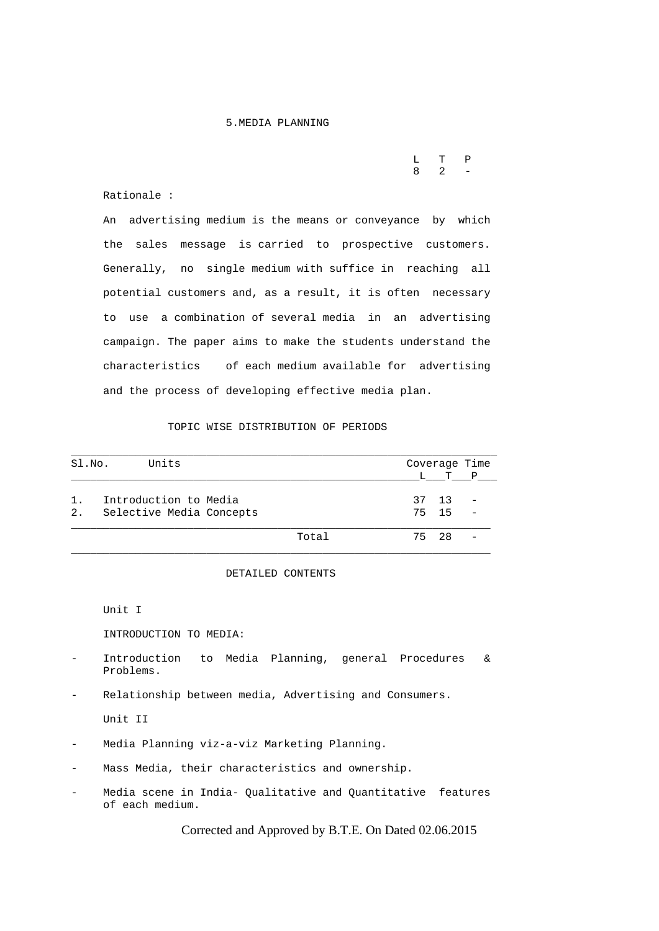|  | L T P               |  |
|--|---------------------|--|
|  | $8\qquad 2\qquad -$ |  |

### Rationale :

 An advertising medium is the means or conveyance by which the sales message is carried to prospective customers. Generally, no single medium with suffice in reaching all potential customers and, as a result, it is often necessary to use a combination of several media in an advertising campaign. The paper aims to make the students understand the characteristics of each medium available for advertising and the process of developing effective media plan.

# TOPIC WISE DISTRIBUTION OF PERIODS

| Sl.No. | Units                    |       |       | Coverage Time |
|--------|--------------------------|-------|-------|---------------|
|        |                          |       |       | L T P         |
| $1$ .  | Introduction to Media    |       | 37 13 |               |
| 2.     | Selective Media Concepts |       | 75 15 |               |
|        |                          | Total | 75 28 |               |

### DETAILED CONTENTS

Unit I

INTRODUCTION TO MEDIA:

- Introduction to Media Planning, general Procedures & Problems.
- Relationship between media, Advertising and Consumers.

Unit II

- Media Planning viz-a-viz Marketing Planning.
- Mass Media, their characteristics and ownership.
- Media scene in India- Qualitative and Quantitative features of each medium.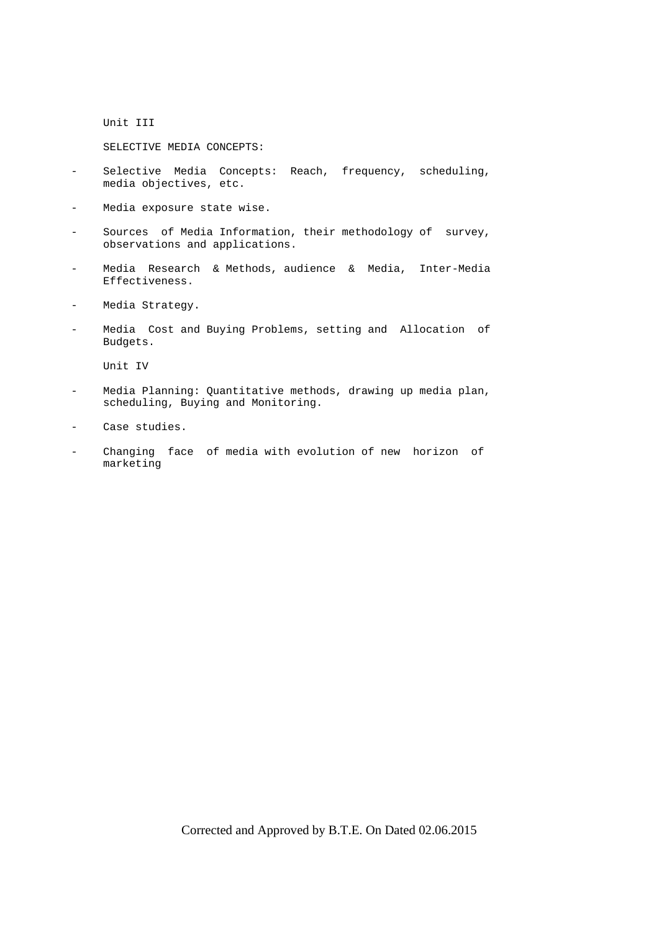Unit III

SELECTIVE MEDIA CONCEPTS:

- Selective Media Concepts: Reach, frequency, scheduling, media objectives, etc.
- Media exposure state wise.
- Sources of Media Information, their methodology of survey, observations and applications.
- Media Research & Methods, audience & Media, Inter-Media Effectiveness.
- Media Strategy.
- Media Cost and Buying Problems, setting and Allocation of Budgets.

Unit IV

- Media Planning: Quantitative methods, drawing up media plan, scheduling, Buying and Monitoring.
- Case studies.
- Changing face of media with evolution of new horizon of marketing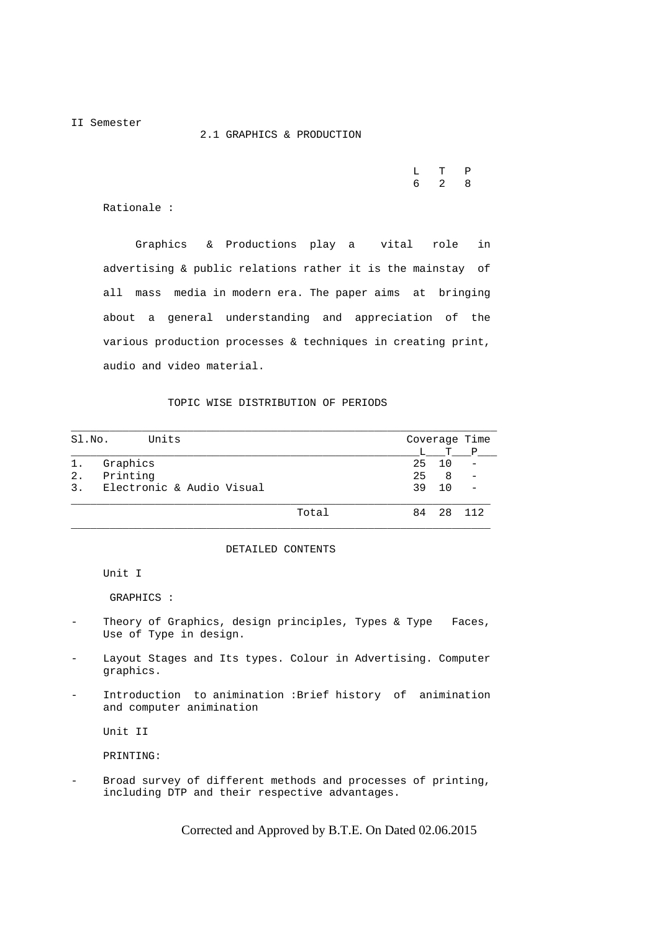II Semester

2.1 GRAPHICS & PRODUCTION

|  | $L \quad T \quad P$   |  |
|--|-----------------------|--|
|  | $6 \qquad 2 \qquad 8$ |  |

Rationale :

 Graphics & Productions play a vital role in advertising & public relations rather it is the mainstay of all mass media in modern era. The paper aims at bringing about a general understanding and appreciation of the various production processes & techniques in creating print, audio and video material.

### TOPIC WISE DISTRIBUTION OF PERIODS

| SI.NO. | Units                     |       |    |    | Coverage Time   |
|--------|---------------------------|-------|----|----|-----------------|
|        |                           |       | L  | т  | $P_{-}$         |
| 1.     | Graphics                  |       | 25 | 10 |                 |
| 2.     | Printing                  |       | 25 | 8  | $\qquad \qquad$ |
| 3.     | Electronic & Audio Visual |       | 39 | 10 |                 |
|        |                           | Total | 84 | 28 | 112             |

## DETAILED CONTENTS

Unit I

GRAPHICS :

- Theory of Graphics, design principles, Types & Type Faces, Use of Type in design.
- Layout Stages and Its types. Colour in Advertising. Computer graphics.
- Introduction to animination :Brief history of animination and computer animination

Unit II

PRINTING:

Broad survey of different methods and processes of printing, including DTP and their respective advantages.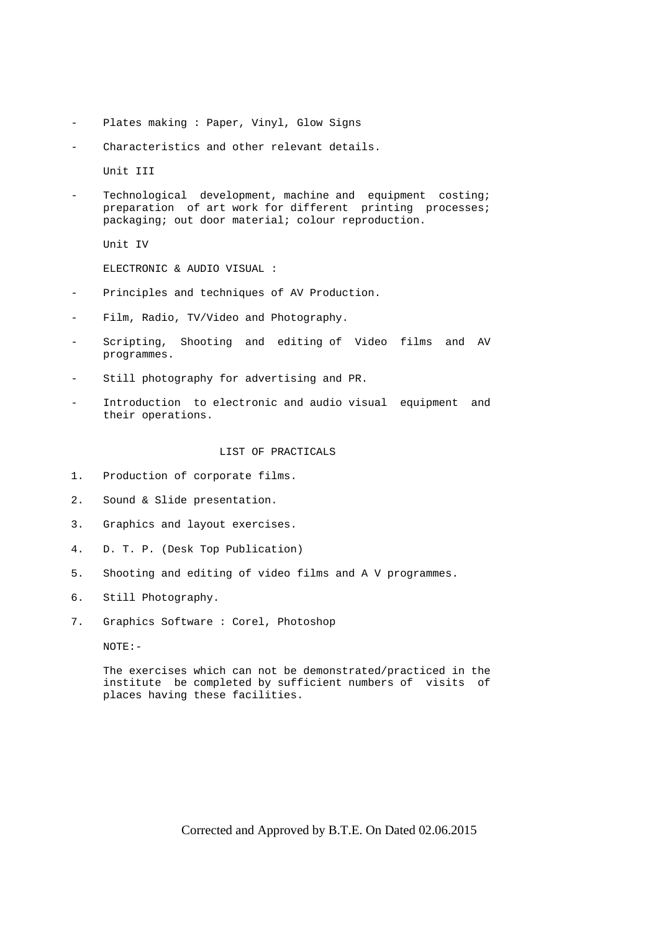- Plates making : Paper, Vinyl, Glow Signs
- Characteristics and other relevant details.

Unit III

Technological development, machine and equipment costing; preparation of art work for different printing processes; packaging; out door material; colour reproduction.

Unit IV

ELECTRONIC & AUDIO VISUAL :

- Principles and techniques of AV Production.
- Film, Radio, TV/Video and Photography.
- Scripting, Shooting and editing of Video films and AV programmes.
- Still photography for advertising and PR.
- Introduction to electronic and audio visual equipment and their operations.

### LIST OF PRACTICALS

- 1. Production of corporate films.
- 2. Sound & Slide presentation.
- 3. Graphics and layout exercises.
- 4. D. T. P. (Desk Top Publication)
- 5. Shooting and editing of video films and A V programmes.
- 6. Still Photography.
- 7. Graphics Software : Corel, Photoshop

NOTE:-

 The exercises which can not be demonstrated/practiced in the institute be completed by sufficient numbers of visits of places having these facilities.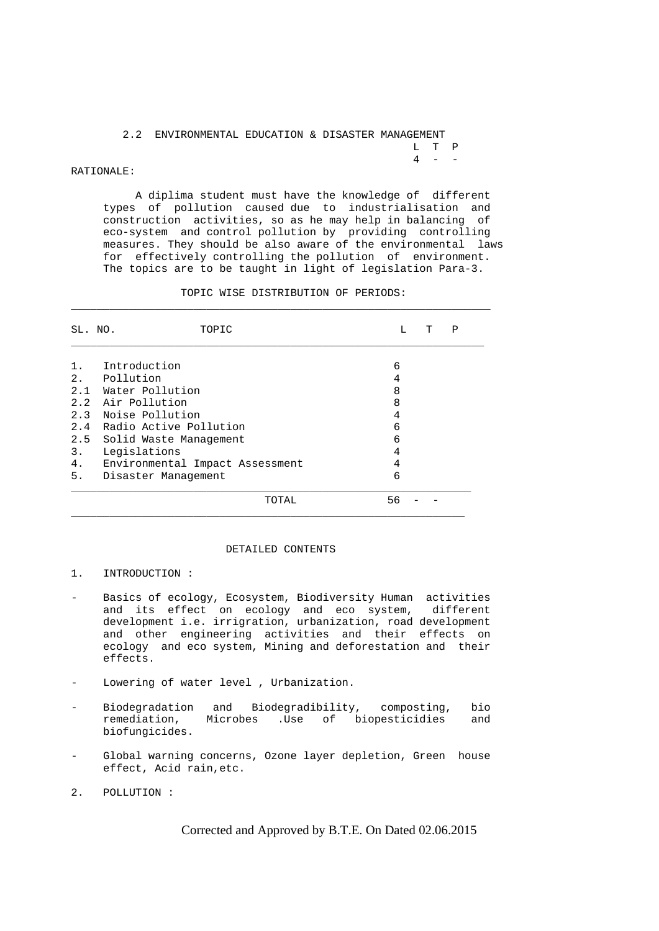# 2.2 ENVIRONMENTAL EDUCATION & DISASTER MANAGEMENT  $\begin{array}{ccc} \mathbf{L} & \mathbf{T} & \mathbf{P} \\ \mathbf{4} & - & - \end{array}$

 $4 - -$ 

## RATIONALE:

 A diplima student must have the knowledge of different types of pollution caused due to industrialisation and construction activities, so as he may help in balancing of eco-system and control pollution by providing controlling measures. They should be also aware of the environmental laws for effectively controlling the pollution of environment. The topics are to be taught in light of legislation Para-3.

### TOPIC WISE DISTRIBUTION OF PERIODS:

| SL. NO.        | TOPIC                           | L  | т | Ρ |
|----------------|---------------------------------|----|---|---|
| 1.             | Introduction                    | 6  |   |   |
| 2 <sub>1</sub> | Pollution                       | 4  |   |   |
|                | 2.1 Water Pollution             | 8  |   |   |
|                | 2.2 Air Pollution               | 8  |   |   |
|                | 2.3 Noise Pollution             | 4  |   |   |
|                | 2.4 Radio Active Pollution      | 6  |   |   |
|                | 2.5 Solid Waste Management      | 6  |   |   |
| 3.             | Legislations                    | 4  |   |   |
| 4.             | Environmental Impact Assessment | 4  |   |   |
| 5.             | Disaster Manaqement             | 6  |   |   |
|                | TOTAL                           | 56 |   |   |

## DETAILED CONTENTS

## 1. INTRODUCTION :

- Basics of ecology, Ecosystem, Biodiversity Human activities and its effect on ecology and eco system, different development i.e. irrigration, urbanization, road development and other engineering activities and their effects on ecology and eco system, Mining and deforestation and their effects.
- Lowering of water level , Urbanization.
- Biodegradation and Biodegradibility, composting, bio remediation, Microbes .Use of biopesticidies and biofungicides.
- Global warning concerns, Ozone layer depletion, Green house effect, Acid rain,etc.
- 2. POLLUTION :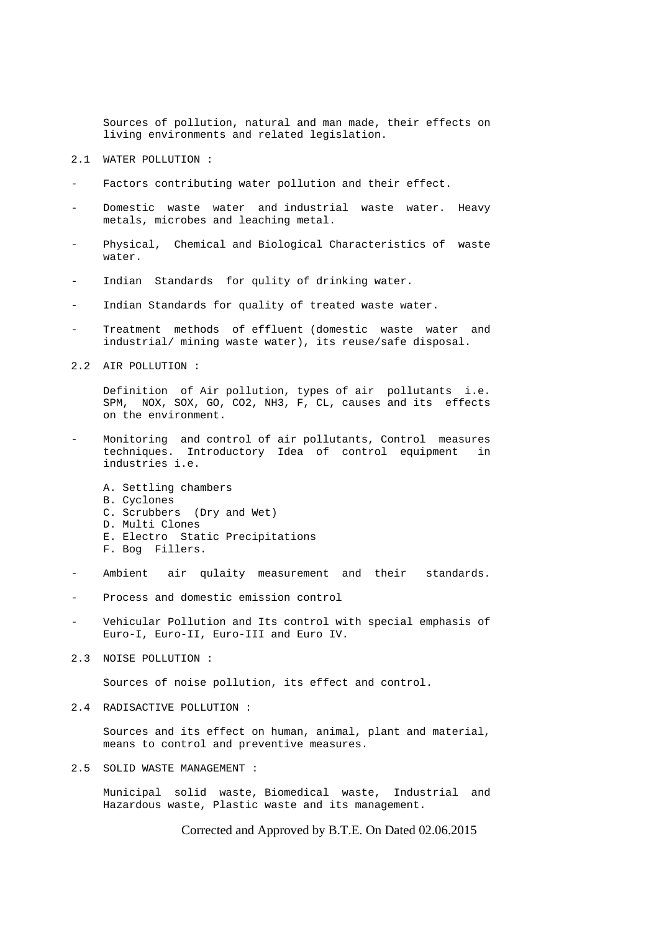Sources of pollution, natural and man made, their effects on living environments and related legislation.

2.1 WATER POLLUTION :

- Factors contributing water pollution and their effect.
- Domestic waste water and industrial waste water. Heavy metals, microbes and leaching metal.
- Physical, Chemical and Biological Characteristics of waste water.
- Indian Standards for qulity of drinking water.
- Indian Standards for quality of treated waste water.
- Treatment methods of effluent (domestic waste water and industrial/ mining waste water), its reuse/safe disposal.

2.2 AIR POLLUTION :

 Definition of Air pollution, types of air pollutants i.e. SPM, NOX, SOX, GO, CO2, NH3, F, CL, causes and its effects on the environment.

- Monitoring and control of air pollutants, Control measures techniques. Introductory Idea of control equipment in industries i.e.
	- A. Settling chambers
	- B. Cyclones
	- C. Scrubbers (Dry and Wet)
	- D. Multi Clones
	- E. Electro Static Precipitations
	- F. Bog Fillers.
- Ambient air qulaity measurement and their standards.
- Process and domestic emission control
- Vehicular Pollution and Its control with special emphasis of Euro-I, Euro-II, Euro-III and Euro IV.
- 2.3 NOISE POLLUTION :

Sources of noise pollution, its effect and control.

2.4 RADISACTIVE POLLUTION :

 Sources and its effect on human, animal, plant and material, means to control and preventive measures.

2.5 SOLID WASTE MANAGEMENT :

 Municipal solid waste, Biomedical waste, Industrial and Hazardous waste, Plastic waste and its management.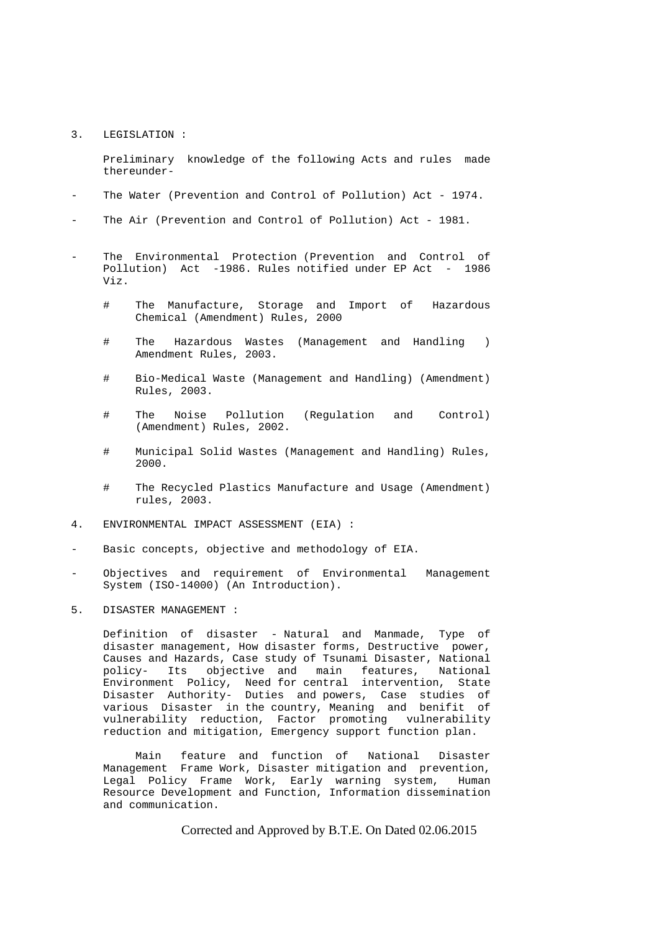3. LEGISLATION :

 Preliminary knowledge of the following Acts and rules made thereunder-

- The Water (Prevention and Control of Pollution) Act 1974.
- The Air (Prevention and Control of Pollution) Act 1981.
- The Environmental Protection (Prevention and Control of Pollution) Act -1986. Rules notified under EP Act - 1986 Viz.
	- # The Manufacture, Storage and Import of Hazardous Chemical (Amendment) Rules, 2000
- # The Hazardous Wastes (Management and Handling ) Amendment Rules, 2003.
	- # Bio-Medical Waste (Management and Handling) (Amendment) Rules, 2003.
	- # The Noise Pollution (Regulation and Control) (Amendment) Rules, 2002.
	- # Municipal Solid Wastes (Management and Handling) Rules, 2000.
	- # The Recycled Plastics Manufacture and Usage (Amendment) rules, 2003.
- 4. ENVIRONMENTAL IMPACT ASSESSMENT (EIA) :
- Basic concepts, objective and methodology of EIA.
- Objectives and requirement of Environmental Management System (ISO-14000) (An Introduction).
- 5. DISASTER MANAGEMENT :

 Definition of disaster - Natural and Manmade, Type of disaster management, How disaster forms, Destructive power, Causes and Hazards, Case study of Tsunami Disaster, National policy- Its objective and main features, Environment Policy, Need for central intervention, State Disaster Authority- Duties and powers, Case studies of various Disaster in the country, Meaning and benifit of vulnerability reduction, Factor promoting vulnerability reduction and mitigation, Emergency support function plan.

 Main feature and function of National Disaster Management Frame Work, Disaster mitigation and prevention, Legal Policy Frame Work, Early warning system, Human Resource Development and Function, Information dissemination and communication.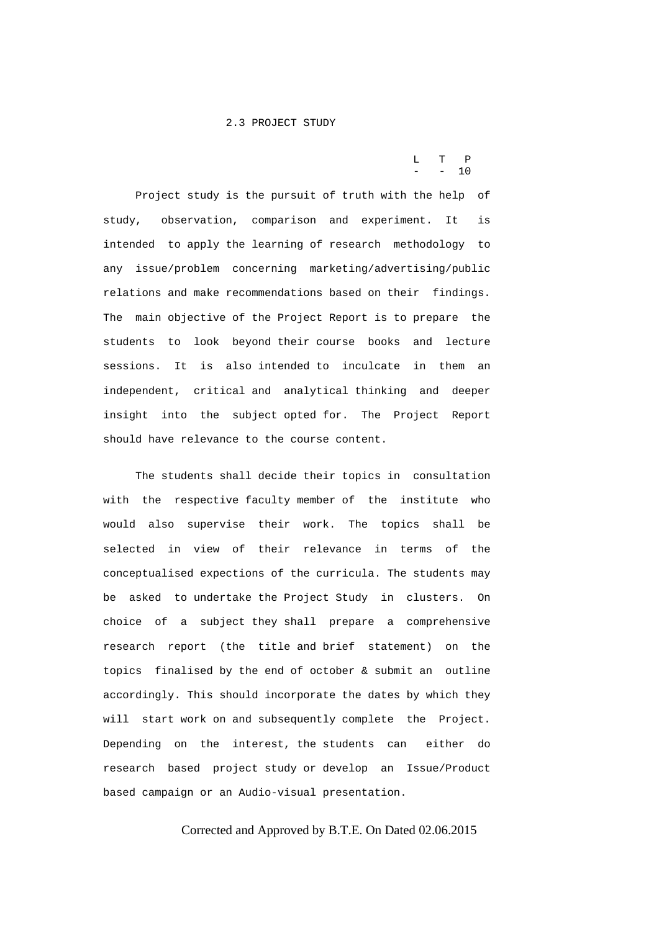### 2.3 PROJECT STUDY

| $L$ T P  |  |
|----------|--|
| $- - 10$ |  |

 Project study is the pursuit of truth with the help of study, observation, comparison and experiment. It is intended to apply the learning of research methodology to any issue/problem concerning marketing/advertising/public relations and make recommendations based on their findings. The main objective of the Project Report is to prepare the students to look beyond their course books and lecture sessions. It is also intended to inculcate in them an independent, critical and analytical thinking and deeper insight into the subject opted for. The Project Report should have relevance to the course content.

 The students shall decide their topics in consultation with the respective faculty member of the institute who would also supervise their work. The topics shall be selected in view of their relevance in terms of the conceptualised expections of the curricula. The students may be asked to undertake the Project Study in clusters. On choice of a subject they shall prepare a comprehensive research report (the title and brief statement) on the topics finalised by the end of october & submit an outline accordingly. This should incorporate the dates by which they will start work on and subsequently complete the Project. Depending on the interest, the students can either do research based project study or develop an Issue/Product based campaign or an Audio-visual presentation.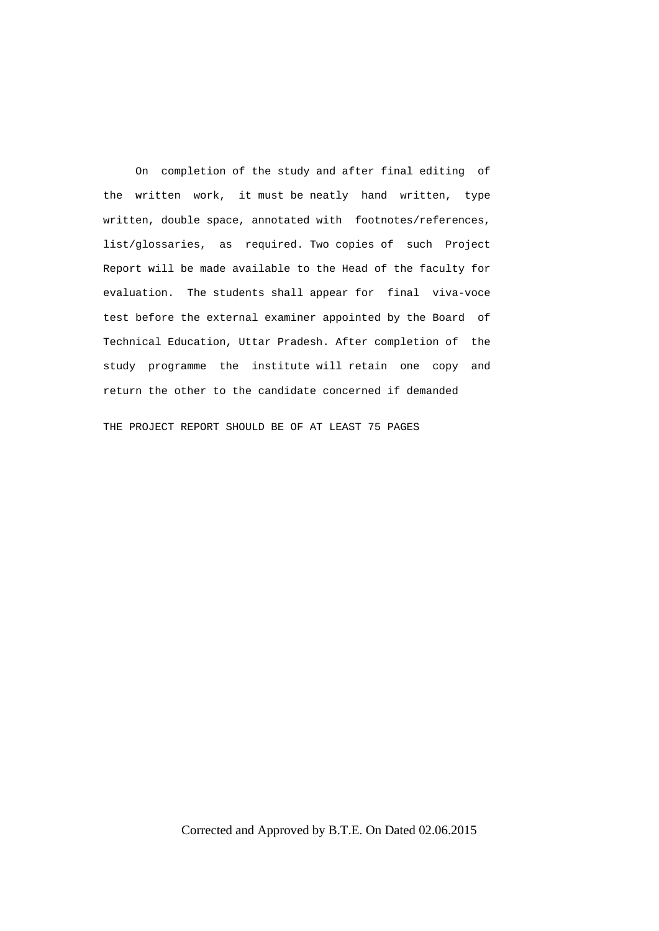On completion of the study and after final editing of the written work, it must be neatly hand written, type written, double space, annotated with footnotes/references, list/glossaries, as required. Two copies of such Project Report will be made available to the Head of the faculty for evaluation. The students shall appear for final viva-voce test before the external examiner appointed by the Board of Technical Education, Uttar Pradesh. After completion of the study programme the institute will retain one copy and return the other to the candidate concerned if demanded

THE PROJECT REPORT SHOULD BE OF AT LEAST 75 PAGES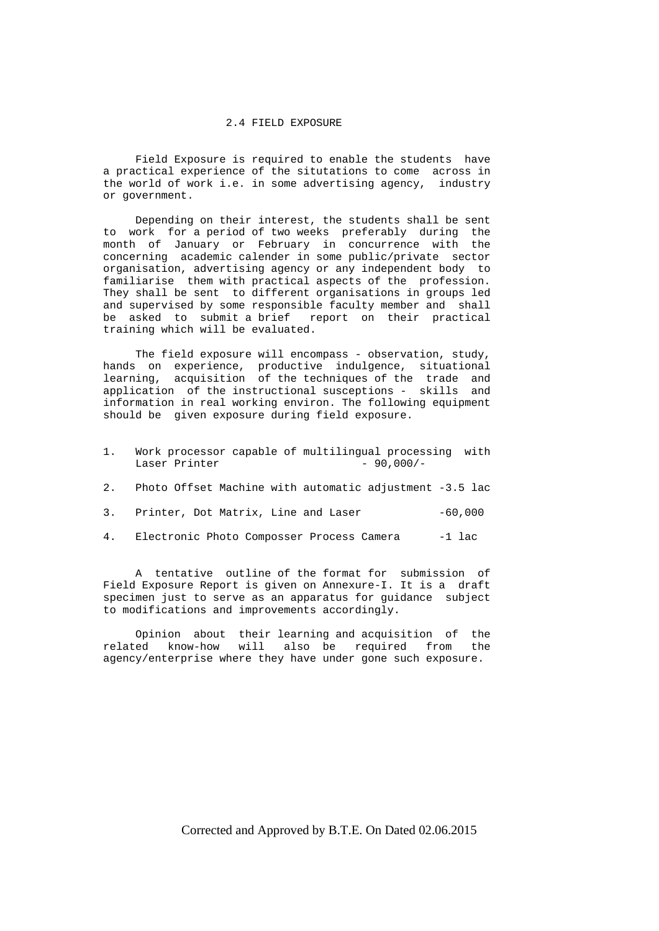### 2.4 FIELD EXPOSURE

 Field Exposure is required to enable the students have a practical experience of the situtations to come across in the world of work i.e. in some advertising agency, industry or government.

 Depending on their interest, the students shall be sent to work for a period of two weeks preferably during the month of January or February in concurrence with the concerning academic calender in some public/private sector organisation, advertising agency or any independent body to familiarise them with practical aspects of the profession. They shall be sent to different organisations in groups led and supervised by some responsible faculty member and shall be asked to submit a brief report on their practical training which will be evaluated.

The field exposure will encompass - observation, study, hands on experience, productive indulgence, situational learning, acquisition of the techniques of the trade and application of the instructional susceptions - skills and information in real working environ. The following equipment should be given exposure during field exposure.

- 1. Work processor capable of multilingual processing with Laser Printer - 90,000/-
- 2. Photo Offset Machine with automatic adjustment -3.5 lac
- 3. Printer, Dot Matrix, Line and Laser  $-60,000$
- 4. Electronic Photo Composser Process Camera -1 lac

 A tentative outline of the format for submission of Field Exposure Report is given on Annexure-I. It is a draft specimen just to serve as an apparatus for guidance subject to modifications and improvements accordingly.

 Opinion about their learning and acquisition of the related know-how will also be required from the agency/enterprise where they have under gone such exposure.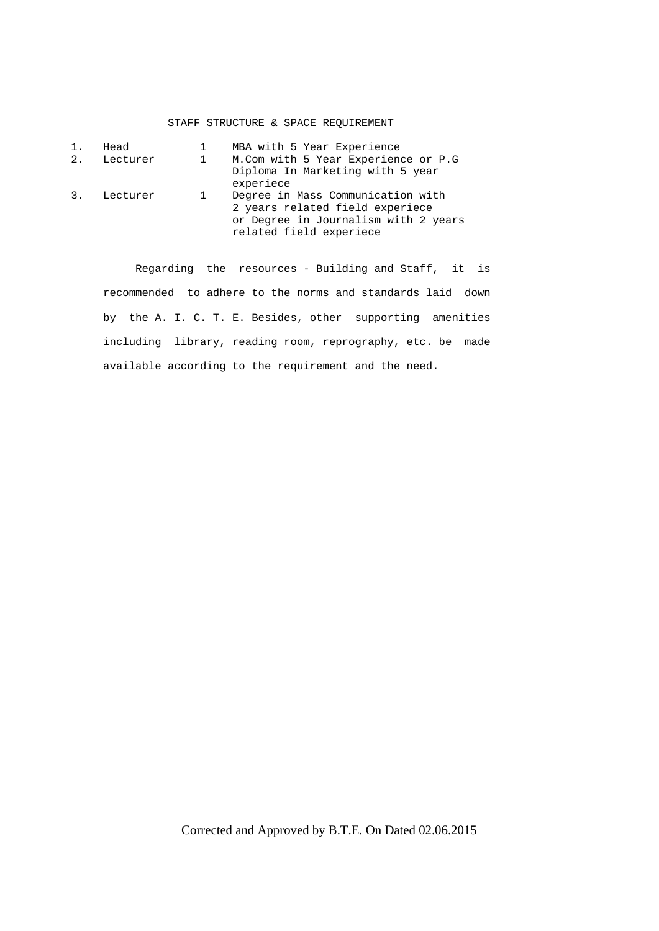# STAFF STRUCTURE & SPACE REQUIREMENT

|    | Head     | MBA with 5 Year Experience                                                                                                              |
|----|----------|-----------------------------------------------------------------------------------------------------------------------------------------|
| 2. | Lecturer | M.Com with 5 Year Experience or P.G<br>Diploma In Marketing with 5 year<br>experiece                                                    |
|    | Lecturer | Degree in Mass Communication with<br>2 years related field experiece<br>or Degree in Journalism with 2 years<br>related field experiece |

 Regarding the resources - Building and Staff, it is recommended to adhere to the norms and standards laid down by the A. I. C. T. E. Besides, other supporting amenities including library, reading room, reprography, etc. be made available according to the requirement and the need.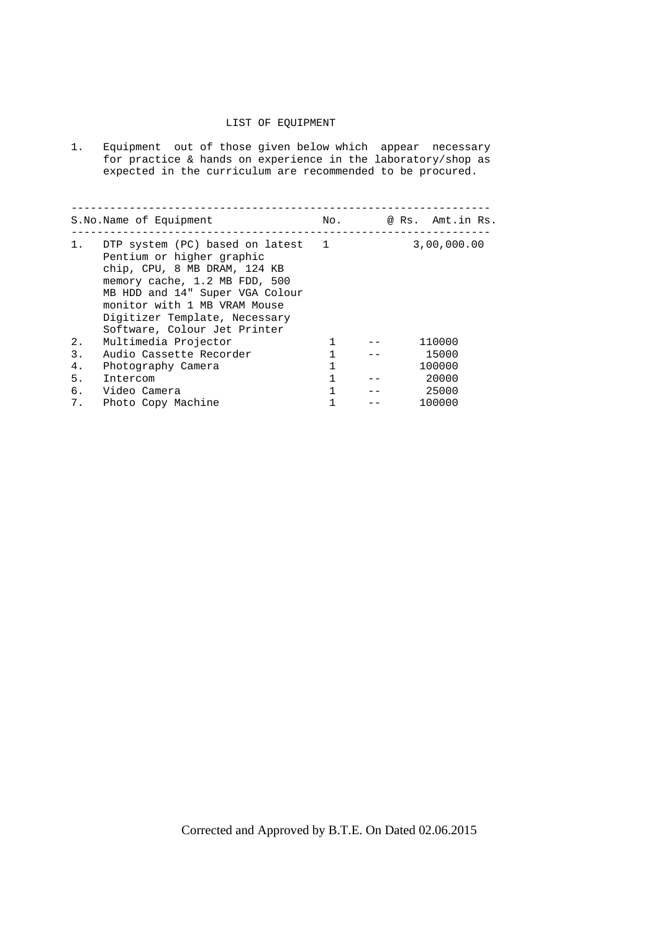# LIST OF EQUIPMENT

1. Equipment out of those given below which appear necessary for practice & hands on experience in the laboratory/shop as expected in the curriculum are recommended to be procured.

|    | S.No.Name of Equipment                                                                                                                                                                                                                                              | No. | @ Rs. Amt.in Rs. |
|----|---------------------------------------------------------------------------------------------------------------------------------------------------------------------------------------------------------------------------------------------------------------------|-----|------------------|
| 1. | DTP system (PC) based on latest 1<br>Pentium or higher graphic<br>chip, CPU, 8 MB DRAM, 124 KB<br>memory cache, 1.2 MB FDD, 500<br>MB HDD and 14" Super VGA Colour<br>monitor with 1 MB VRAM Mouse<br>Digitizer Template, Necessary<br>Software, Colour Jet Printer |     | 3,00,000.00      |
| 2. | Multimedia Projector                                                                                                                                                                                                                                                | 1   | 110000           |
| 3. | Audio Cassette Recorder                                                                                                                                                                                                                                             |     | 15000            |
| 4. | Photography Camera                                                                                                                                                                                                                                                  | 1   | 100000           |
| 5. | Intercom                                                                                                                                                                                                                                                            |     | 20000            |
| б. | Video Camera                                                                                                                                                                                                                                                        |     | 25000            |
| 7. | Photo Copy Machine                                                                                                                                                                                                                                                  |     | 100000           |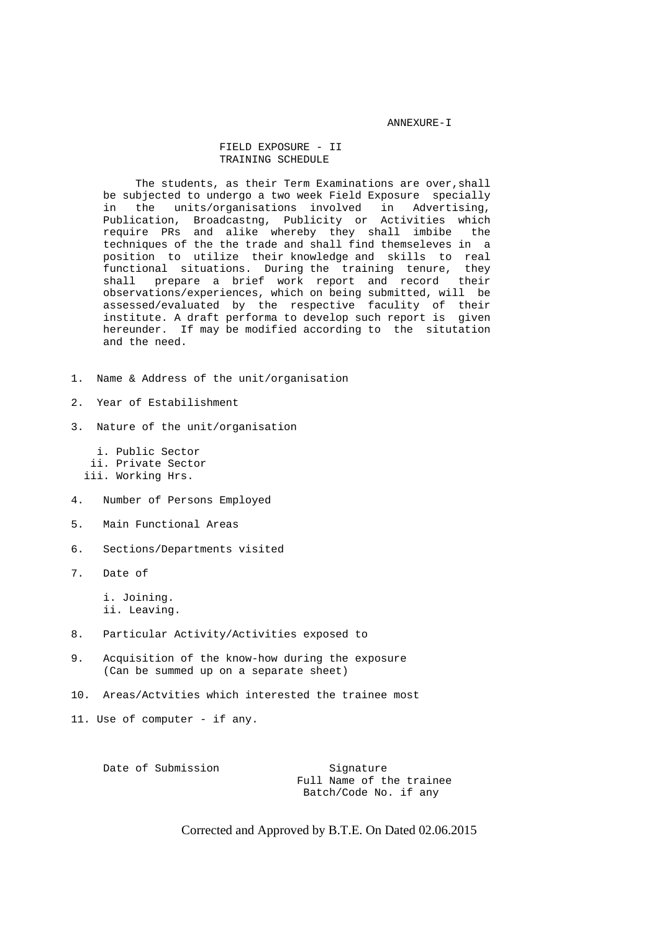ANNEXURE-I

## FIELD EXPOSURE - II TRAINING SCHEDULE

The students, as their Term Examinations are over, shall be subjected to undergo a two week Field Exposure specially in the units/organisations involved in Advertising, Publication, Broadcastng, Publicity or Activities which require PRs and alike whereby they shall imbibe the techniques of the the trade and shall find themseleves in a position to utilize their knowledge and skills to real functional situations. During the training tenure, they shall prepare a brief work report and record their observations/experiences, which on being submitted, will be assessed/evaluated by the respective faculity of their institute. A draft performa to develop such report is given hereunder. If may be modified according to the situtation and the need.

1. Name & Address of the unit/organisation

2. Year of Estabilishment

3. Nature of the unit/organisation

 i. Public Sector ii. Private Sector iii. Working Hrs.

- 4. Number of Persons Employed
- 5. Main Functional Areas
- 6. Sections/Departments visited

7. Date of

 i. Joining. ii. Leaving.

- 8. Particular Activity/Activities exposed to
- 9. Acquisition of the know-how during the exposure (Can be summed up on a separate sheet)
- 10. Areas/Actvities which interested the trainee most

11. Use of computer - if any.

Date of Submission Signature

 Full Name of the trainee Batch/Code No. if any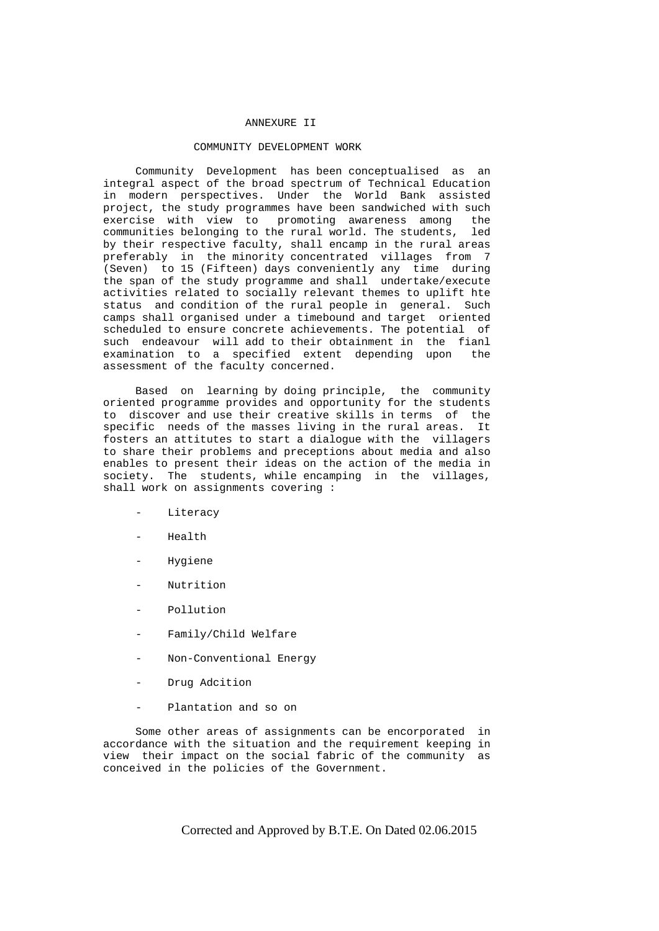#### ANNEXURE II

### COMMUNITY DEVELOPMENT WORK

 Community Development has been conceptualised as an integral aspect of the broad spectrum of Technical Education in modern perspectives. Under the World Bank assisted project, the study programmes have been sandwiched with such exercise with view to promoting awareness among the communities belonging to the rural world. The students, led by their respective faculty, shall encamp in the rural areas preferably in the minority concentrated villages from 7 (Seven) to 15 (Fifteen) days conveniently any time during the span of the study programme and shall undertake/execute activities related to socially relevant themes to uplift hte status and condition of the rural people in general. Such camps shall organised under a timebound and target oriented scheduled to ensure concrete achievements. The potential of such endeavour will add to their obtainment in the fianl examination to a specified extent depending upon the assessment of the faculty concerned.

 Based on learning by doing principle, the community oriented programme provides and opportunity for the students to discover and use their creative skills in terms of the specific needs of the masses living in the rural areas. It fosters an attitutes to start a dialogue with the villagers to share their problems and preceptions about media and also enables to present their ideas on the action of the media in society. The students, while encamping in the villages, shall work on assignments covering :

- **Literacy**
- Health
- Hygiene
- Nutrition
- Pollution
- Family/Child Welfare
- Non-Conventional Energy
- Drug Adcition
- Plantation and so on

 Some other areas of assignments can be encorporated in accordance with the situation and the requirement keeping in view their impact on the social fabric of the community as conceived in the policies of the Government.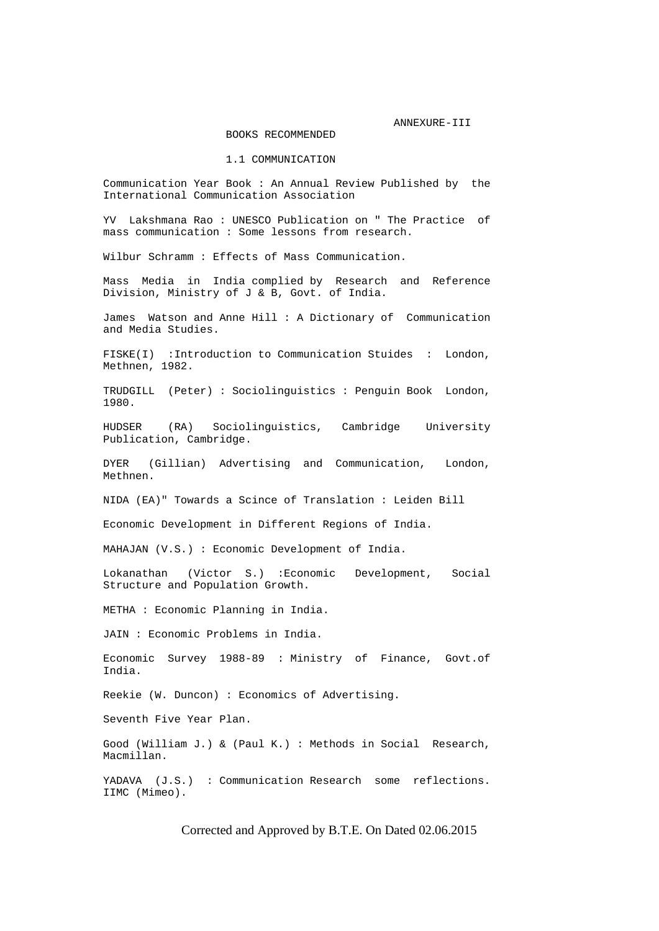ANNEXURE-III

BOOKS RECOMMENDED

1.1 COMMUNICATION

 Communication Year Book : An Annual Review Published by the International Communication Association

 YV Lakshmana Rao : UNESCO Publication on " The Practice of mass communication : Some lessons from research.

Wilbur Schramm : Effects of Mass Communication.

 Mass Media in India complied by Research and Reference Division, Ministry of J & B, Govt. of India.

 James Watson and Anne Hill : A Dictionary of Communication and Media Studies.

 FISKE(I) :Introduction to Communication Stuides : London, Methnen, 1982.

 TRUDGILL (Peter) : Sociolinguistics : Penguin Book London, 1980.

 HUDSER (RA) Sociolinguistics, Cambridge University Publication, Cambridge.

 DYER (Gillian) Advertising and Communication, London, Methnen.

NIDA (EA)" Towards a Scince of Translation : Leiden Bill

Economic Development in Different Regions of India.

MAHAJAN (V.S.) : Economic Development of India.

 Lokanathan (Victor S.) :Economic Development, Social Structure and Population Growth.

METHA : Economic Planning in India.

JAIN : Economic Problems in India.

 Economic Survey 1988-89 : Ministry of Finance, Govt.of India.

Reekie (W. Duncon) : Economics of Advertising.

Seventh Five Year Plan.

 Good (William J.) & (Paul K.) : Methods in Social Research, Macmillan.

 YADAVA (J.S.) : Communication Research some reflections. IIMC (Mimeo).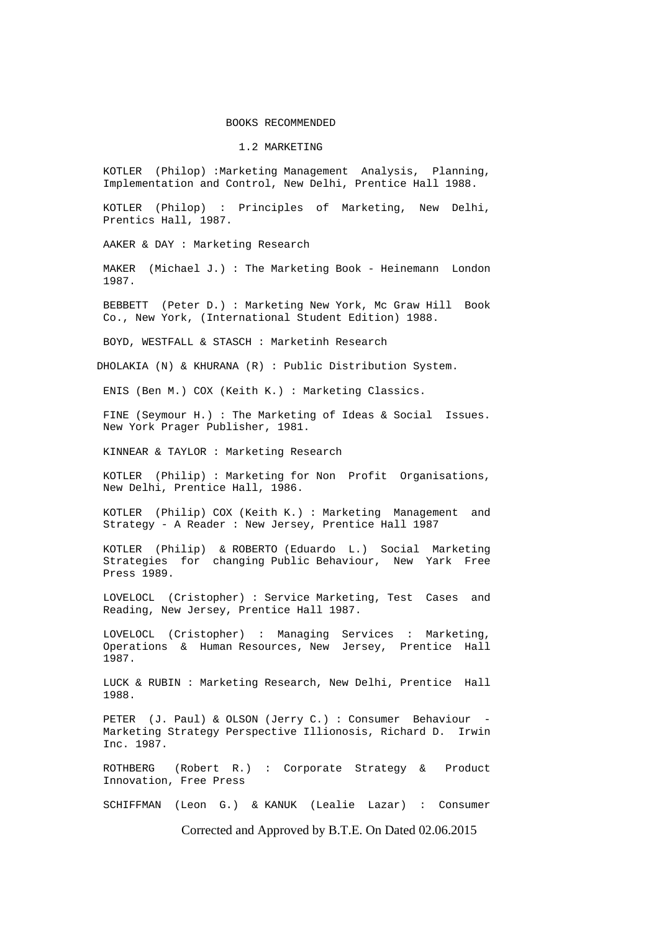### BOOKS RECOMMENDED

1.2 MARKETING

 KOTLER (Philop) :Marketing Management Analysis, Planning, Implementation and Control, New Delhi, Prentice Hall 1988.

 KOTLER (Philop) : Principles of Marketing, New Delhi, Prentics Hall, 1987.

AAKER & DAY : Marketing Research

 MAKER (Michael J.) : The Marketing Book - Heinemann London 1987.

 BEBBETT (Peter D.) : Marketing New York, Mc Graw Hill Book Co., New York, (International Student Edition) 1988.

BOYD, WESTFALL & STASCH : Marketinh Research

DHOLAKIA (N) & KHURANA (R) : Public Distribution System.

ENIS (Ben M.) COX (Keith K.) : Marketing Classics.

 FINE (Seymour H.) : The Marketing of Ideas & Social Issues. New York Prager Publisher, 1981.

KINNEAR & TAYLOR : Marketing Research

 KOTLER (Philip) : Marketing for Non Profit Organisations, New Delhi, Prentice Hall, 1986.

 KOTLER (Philip) COX (Keith K.) : Marketing Management and Strategy - A Reader : New Jersey, Prentice Hall 1987

 KOTLER (Philip) & ROBERTO (Eduardo L.) Social Marketing Strategies for changing Public Behaviour, New Yark Free Press 1989.

 LOVELOCL (Cristopher) : Service Marketing, Test Cases and Reading, New Jersey, Prentice Hall 1987.

 LOVELOCL (Cristopher) : Managing Services : Marketing, Operations & Human Resources, New Jersey, Prentice Hall 1987.

 LUCK & RUBIN : Marketing Research, New Delhi, Prentice Hall 1988.

PETER (J. Paul) & OLSON (Jerry C.) : Consumer Behaviour Marketing Strategy Perspective Illionosis, Richard D. Irwin Inc. 1987.

 ROTHBERG (Robert R.) : Corporate Strategy & Product Innovation, Free Press

SCHIFFMAN (Leon G.) & KANUK (Lealie Lazar) : Consumer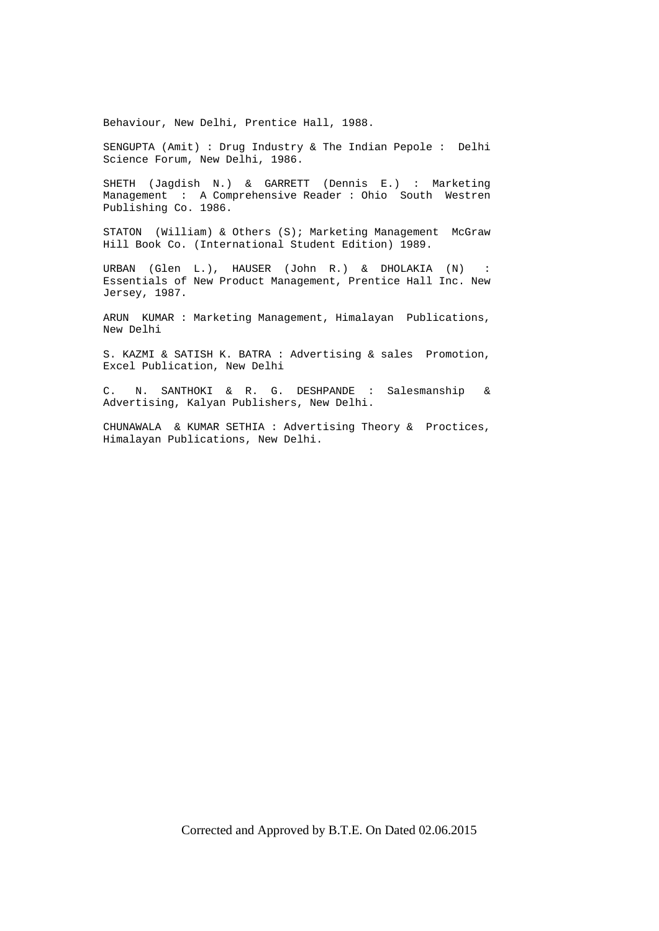Behaviour, New Delhi, Prentice Hall, 1988.

 SENGUPTA (Amit) : Drug Industry & The Indian Pepole : Delhi Science Forum, New Delhi, 1986.

 SHETH (Jagdish N.) & GARRETT (Dennis E.) : Marketing Management : A Comprehensive Reader : Ohio South Westren Publishing Co. 1986.

 STATON (William) & Others (S); Marketing Management McGraw Hill Book Co. (International Student Edition) 1989.

 URBAN (Glen L.), HAUSER (John R.) & DHOLAKIA (N) : Essentials of New Product Management, Prentice Hall Inc. New Jersey, 1987.

 ARUN KUMAR : Marketing Management, Himalayan Publications, New Delhi

 S. KAZMI & SATISH K. BATRA : Advertising & sales Promotion, Excel Publication, New Delhi

 C. N. SANTHOKI & R. G. DESHPANDE : Salesmanship & Advertising, Kalyan Publishers, New Delhi.

 CHUNAWALA & KUMAR SETHIA : Advertising Theory & Proctices, Himalayan Publications, New Delhi.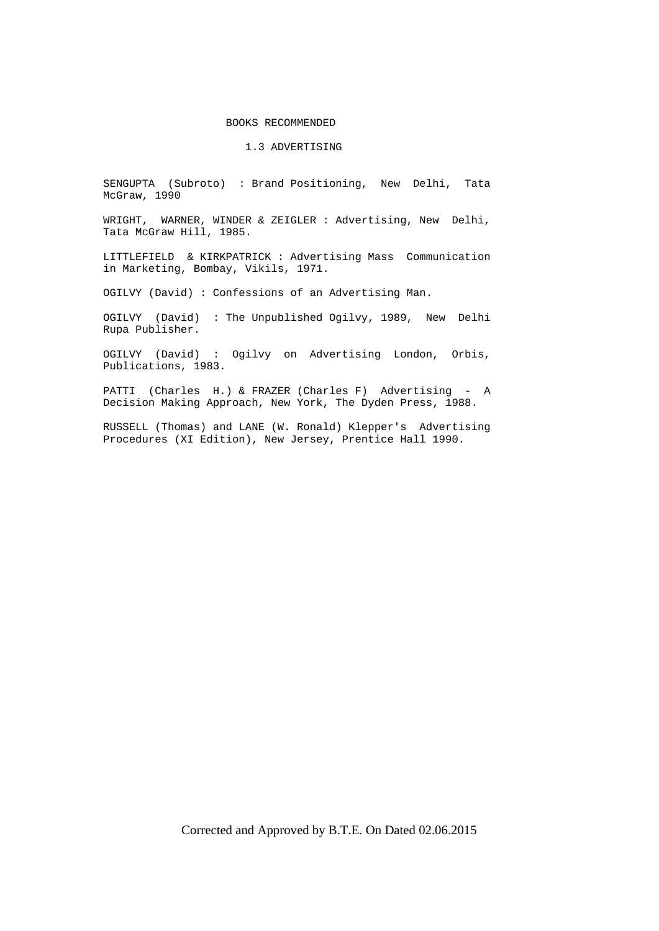## BOOKS RECOMMENDED

# 1.3 ADVERTISING

 SENGUPTA (Subroto) : Brand Positioning, New Delhi, Tata McGraw, 1990

 WRIGHT, WARNER, WINDER & ZEIGLER : Advertising, New Delhi, Tata McGraw Hill, 1985.

 LITTLEFIELD & KIRKPATRICK : Advertising Mass Communication in Marketing, Bombay, Vikils, 1971.

OGILVY (David) : Confessions of an Advertising Man.

 OGILVY (David) : The Unpublished Ogilvy, 1989, New Delhi Rupa Publisher.

 OGILVY (David) : Ogilvy on Advertising London, Orbis, Publications, 1983.

 PATTI (Charles H.) & FRAZER (Charles F) Advertising - A Decision Making Approach, New York, The Dyden Press, 1988.

 RUSSELL (Thomas) and LANE (W. Ronald) Klepper's Advertising Procedures (XI Edition), New Jersey, Prentice Hall 1990.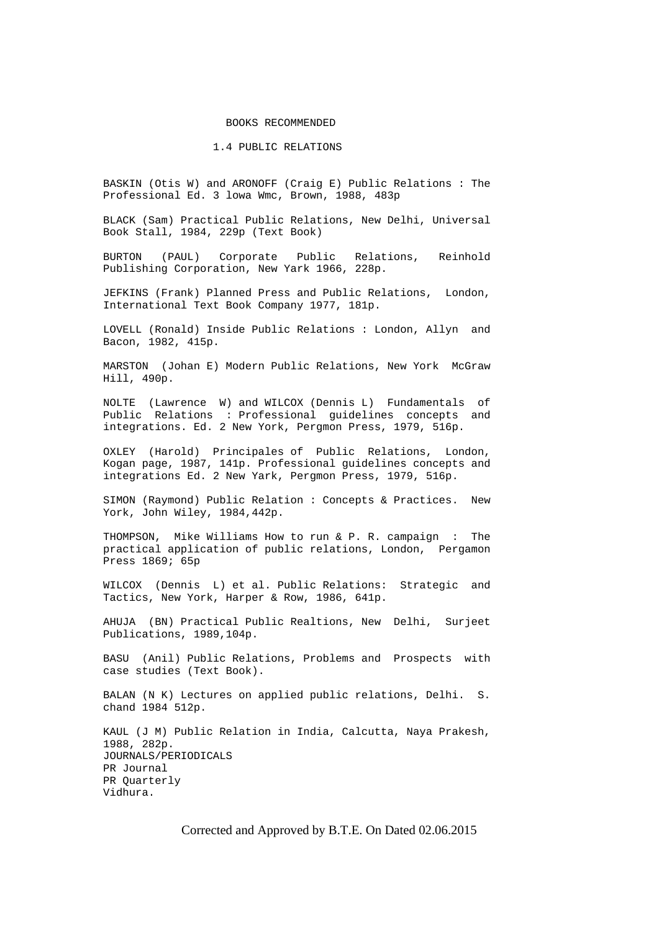### BOOKS RECOMMENDED

1.4 PUBLIC RELATIONS

 BASKIN (Otis W) and ARONOFF (Craig E) Public Relations : The Professional Ed. 3 lowa Wmc, Brown, 1988, 483p

 BLACK (Sam) Practical Public Relations, New Delhi, Universal Book Stall, 1984, 229p (Text Book)

 BURTON (PAUL) Corporate Public Relations, Reinhold Publishing Corporation, New Yark 1966, 228p.

 JEFKINS (Frank) Planned Press and Public Relations, London, International Text Book Company 1977, 181p.

 LOVELL (Ronald) Inside Public Relations : London, Allyn and Bacon, 1982, 415p.

 MARSTON (Johan E) Modern Public Relations, New York McGraw Hill, 490p.

 NOLTE (Lawrence W) and WILCOX (Dennis L) Fundamentals of Public Relations : Professional guidelines concepts and integrations. Ed. 2 New York, Pergmon Press, 1979, 516p.

 OXLEY (Harold) Principales of Public Relations, London, Kogan page, 1987, 141p. Professional guidelines concepts and integrations Ed. 2 New Yark, Pergmon Press, 1979, 516p.

 SIMON (Raymond) Public Relation : Concepts & Practices. New York, John Wiley, 1984,442p.

 THOMPSON, Mike Williams How to run & P. R. campaign : The practical application of public relations, London, Pergamon Press 1869; 65p

 WILCOX (Dennis L) et al. Public Relations: Strategic and Tactics, New York, Harper & Row, 1986, 641p.

 AHUJA (BN) Practical Public Realtions, New Delhi, Surjeet Publications, 1989,104p.

 BASU (Anil) Public Relations, Problems and Prospects with case studies (Text Book).

 BALAN (N K) Lectures on applied public relations, Delhi. S. chand 1984 512p.

 KAUL (J M) Public Relation in India, Calcutta, Naya Prakesh, 1988, 282p. JOURNALS/PERIODICALS PR Journal PR Quarterly Vidhura.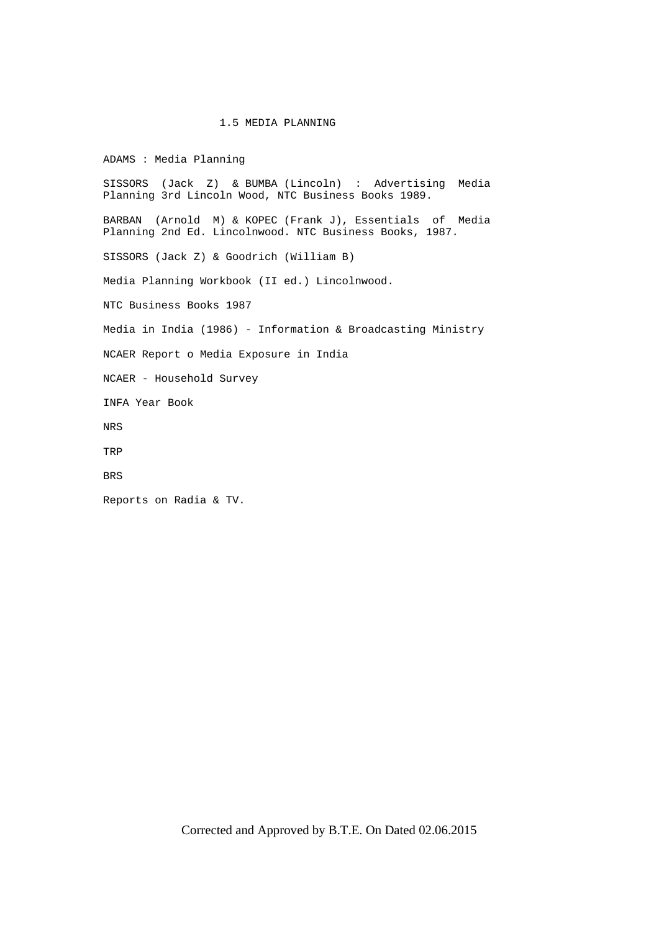# 1.5 MEDIA PLANNING

 ADAMS : Media Planning SISSORS (Jack Z) & BUMBA (Lincoln) : Advertising Media Planning 3rd Lincoln Wood, NTC Business Books 1989. BARBAN (Arnold M) & KOPEC (Frank J), Essentials of Media Planning 2nd Ed. Lincolnwood. NTC Business Books, 1987. SISSORS (Jack Z) & Goodrich (William B) Media Planning Workbook (II ed.) Lincolnwood. NTC Business Books 1987 Media in India (1986) - Information & Broadcasting Ministry NCAER Report o Media Exposure in India NCAER - Household Survey INFA Year Book NRS TRP BRS Reports on Radia & TV.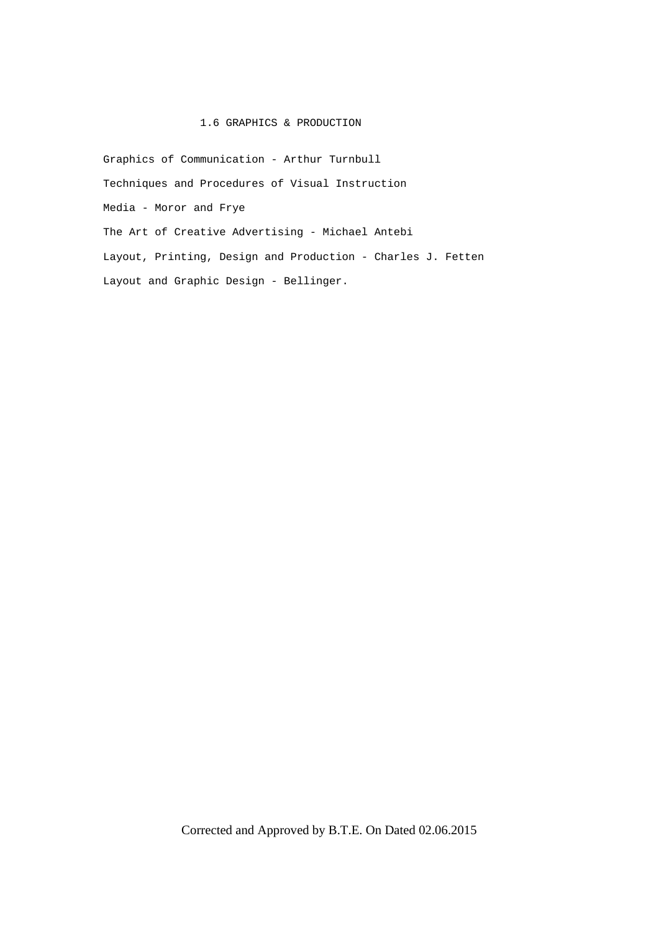# 1.6 GRAPHICS & PRODUCTION

 Graphics of Communication - Arthur Turnbull Techniques and Procedures of Visual Instruction Media - Moror and Frye The Art of Creative Advertising - Michael Antebi Layout, Printing, Design and Production - Charles J. Fetten Layout and Graphic Design - Bellinger.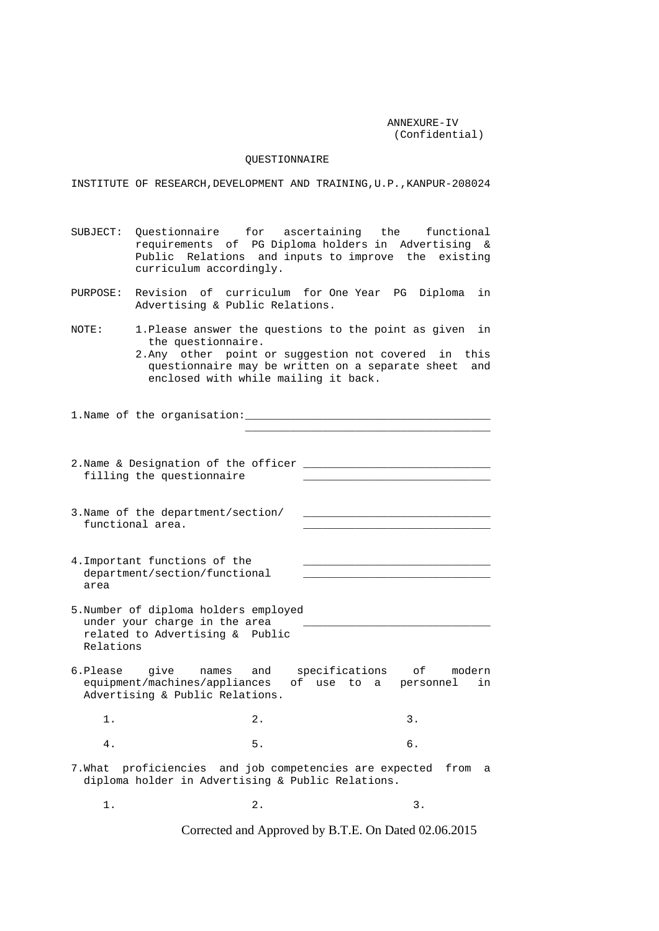ANNEXURE-IV (Confidential)

## QUESTIONNAIRE

INSTITUTE OF RESEARCH,DEVELOPMENT AND TRAINING,U.P.,KANPUR-208024

- SUBJECT: Questionnaire for ascertaining the functional requirements of PG Diploma holders in Advertising & Public Relations and inputs to improve the existing curriculum accordingly.
- PURPOSE: Revision of curriculum for One Year PG Diploma in Advertising & Public Relations.

NOTE: 1.Please answer the questions to the point as given in the questionnaire. 2.Any other point or suggestion not covered in this questionnaire may be written on a separate sheet and enclosed with while mailing it back.

1. Name of the organisation:  $\mathcal{L}_\mathcal{L}$  , which is a set of the set of the set of the set of the set of the set of the set of the set of the set of the set of the set of the set of the set of the set of the set of the set of the set of the set of 2.Name & Designation of the officer \_\_\_\_\_\_\_\_\_\_\_\_\_\_\_\_\_\_\_\_\_\_\_\_\_\_\_\_\_ filling the questionnaire 3. Name of the department/section/ functional area. 4. Important functions of the department/section/functional \_\_\_\_\_\_\_\_\_\_\_\_\_\_\_\_\_\_\_\_\_\_\_\_\_\_\_\_\_ area 5.Number of diploma holders employed under your charge in the area related to Advertising & Public Relations 6.Please give names and specifications of modern<br>equipment/machines/appliances of use to a personnel in of use to a personnel in Advertising & Public Relations. 1. 2. 3. 4. 5. 6.

7.What proficiencies and job competencies are expected from a diploma holder in Advertising & Public Relations.

1. 2. 3.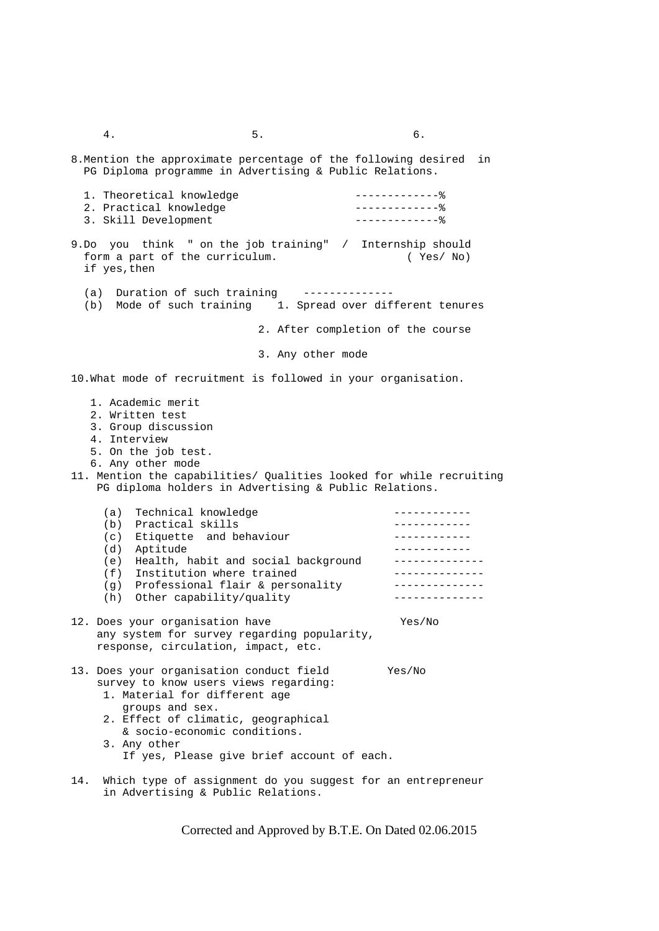4. 5. 6. 8.Mention the approximate percentage of the following desired in PG Diploma programme in Advertising & Public Relations. 1. Theoretical knowledge -------------% 2. Practical knowledge -------------% 3. Skill Development -------------% 9.Do you think " on the job training" / Internship should form a part of the curriculum. ( Yes/ No) if yes,then (a) Duration of such training -------------- (b) Mode of such training 1. Spread over different tenures 2. After completion of the course 3. Any other mode 10.What mode of recruitment is followed in your organisation. 1. Academic merit 2. Written test 3. Group discussion 4. Interview 5. On the job test. 6. Any other mode 11. Mention the capabilities/ Qualities looked for while recruiting PG diploma holders in Advertising & Public Relations. (a) Technical knowledge ------------ (b) Practical skills ------------ (c) Etiquette and behaviour (d) antitude (d) Aptitude (e) Health, habit and social background -------------- (f) Institution where trained -------------- (g) Professional flair & personality<br>(b) Other canability/quality  $(h)$  Other capability/quality 12. Does your organisation have Yes/No any system for survey regarding popularity, response, circulation, impact, etc. 13. Does your organisation conduct field Yes/No survey to know users views regarding: 1. Material for different age groups and sex. 2. Effect of climatic, geographical & socio-economic conditions. 3. Any other If yes, Please give brief account of each.

14. Which type of assignment do you suggest for an entrepreneur in Advertising & Public Relations.